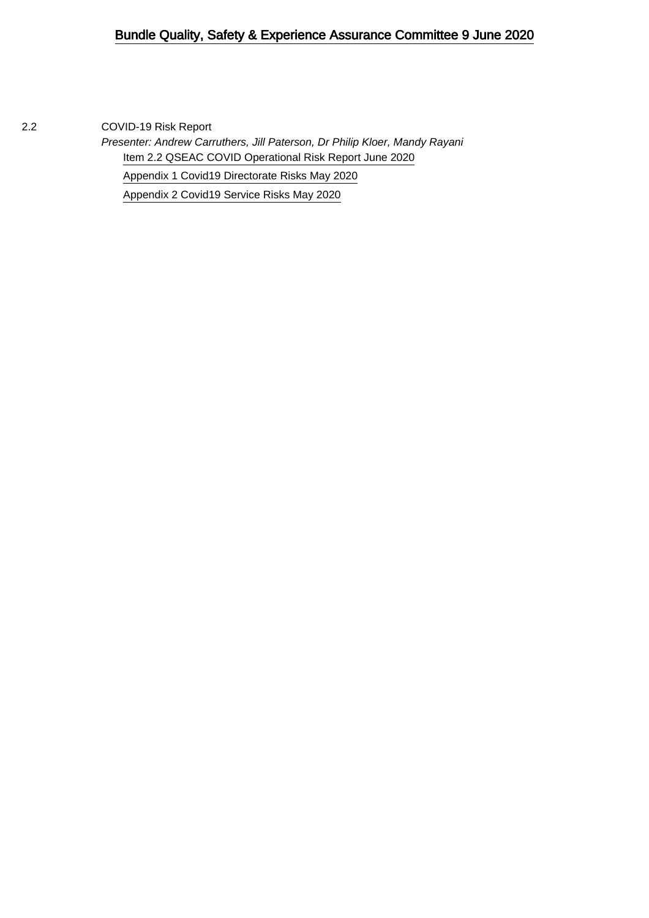## Bundle Quality, Safety & Experience Assurance Committee 9 June 2020

2.2 COVID-19 Risk Report

Presenter: Andrew Carruthers, Jill Paterson, Dr Philip Kloer, Mandy Rayani [Item 2.2 QSEAC COVID Operational Risk Report June 2020](#page-1-0) [Appendix 1 Covid19 Directorate Risks May 2020](#page-8-0) [Appendix 2 Covid19 Service Risks May 2020](#page-13-0)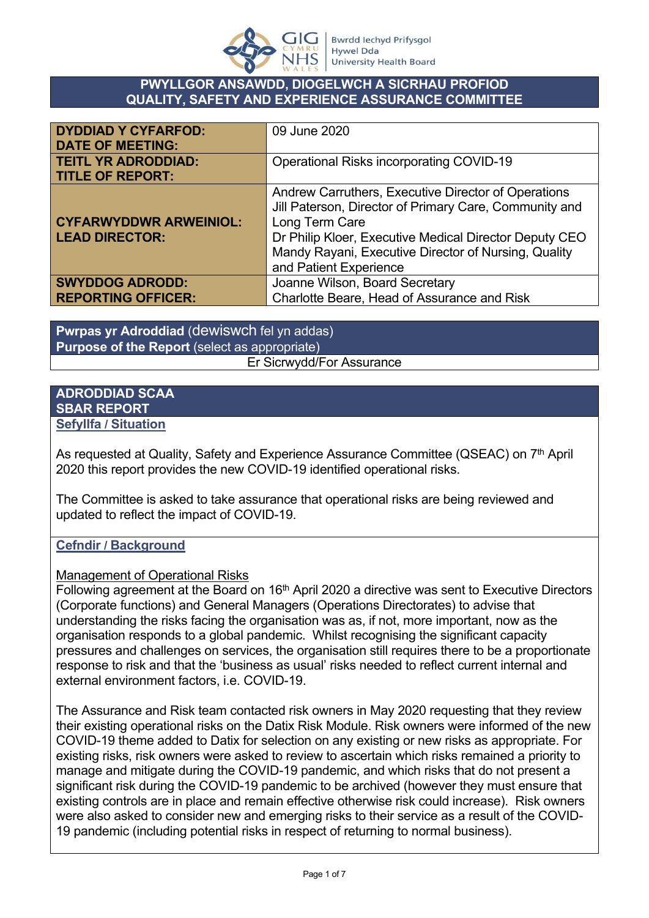

### <span id="page-1-0"></span>**PWYLLGOR ANSAWDD, DIOGELWCH A SICRHAU PROFIOD QUALITY, SAFETY AND EXPERIENCE ASSURANCE COMMITTEE**

| <b>DYDDIAD Y CYFARFOD:</b><br><b>DATE OF MEETING:</b>  | 09 June 2020                                                                                                                                                                                                                                                                |
|--------------------------------------------------------|-----------------------------------------------------------------------------------------------------------------------------------------------------------------------------------------------------------------------------------------------------------------------------|
| <b>TEITL YR ADRODDIAD:</b><br><b>TITLE OF REPORT:</b>  | <b>Operational Risks incorporating COVID-19</b>                                                                                                                                                                                                                             |
| <b>CYFARWYDDWR ARWEINIOL:</b><br><b>LEAD DIRECTOR:</b> | Andrew Carruthers, Executive Director of Operations<br>Jill Paterson, Director of Primary Care, Community and<br>Long Term Care<br>Dr Philip Kloer, Executive Medical Director Deputy CEO<br>Mandy Rayani, Executive Director of Nursing, Quality<br>and Patient Experience |
| <b>SWYDDOG ADRODD:</b><br><b>REPORTING OFFICER:</b>    | Joanne Wilson, Board Secretary<br>Charlotte Beare, Head of Assurance and Risk                                                                                                                                                                                               |

**Pwrpas yr Adroddiad** (dewiswch fel yn addas) **Purpose of the Report** (select as appropriate) Er Sicrwydd/For Assurance

#### **ADRODDIAD SCAA SBAR REPORT Sefyllfa / Situation**

As requested at Quality, Safety and Experience Assurance Committee (QSEAC) on 7<sup>th</sup> April 2020 this report provides the new COVID-19 identified operational risks.

The Committee is asked to take assurance that operational risks are being reviewed and updated to reflect the impact of COVID-19.

## **Cefndir / Background**

### Management of Operational Risks

Following agreement at the Board on  $16<sup>th</sup>$  April 2020 a directive was sent to Executive Directors (Corporate functions) and General Managers (Operations Directorates) to advise that understanding the risks facing the organisation was as, if not, more important, now as the organisation responds to a global pandemic. Whilst recognising the significant capacity pressures and challenges on services, the organisation still requires there to be a proportionate response to risk and that the 'business as usual' risks needed to reflect current internal and external environment factors, i.e. COVID-19.

The Assurance and Risk team contacted risk owners in May 2020 requesting that they review their existing operational risks on the Datix Risk Module. Risk owners were informed of the new COVID-19 theme added to Datix for selection on any existing or new risks as appropriate. For existing risks, risk owners were asked to review to ascertain which risks remained a priority to manage and mitigate during the COVID-19 pandemic, and which risks that do not present a significant risk during the COVID-19 pandemic to be archived (however they must ensure that existing controls are in place and remain effective otherwise risk could increase). Risk owners were also asked to consider new and emerging risks to their service as a result of the COVID-19 pandemic (including potential risks in respect of returning to normal business).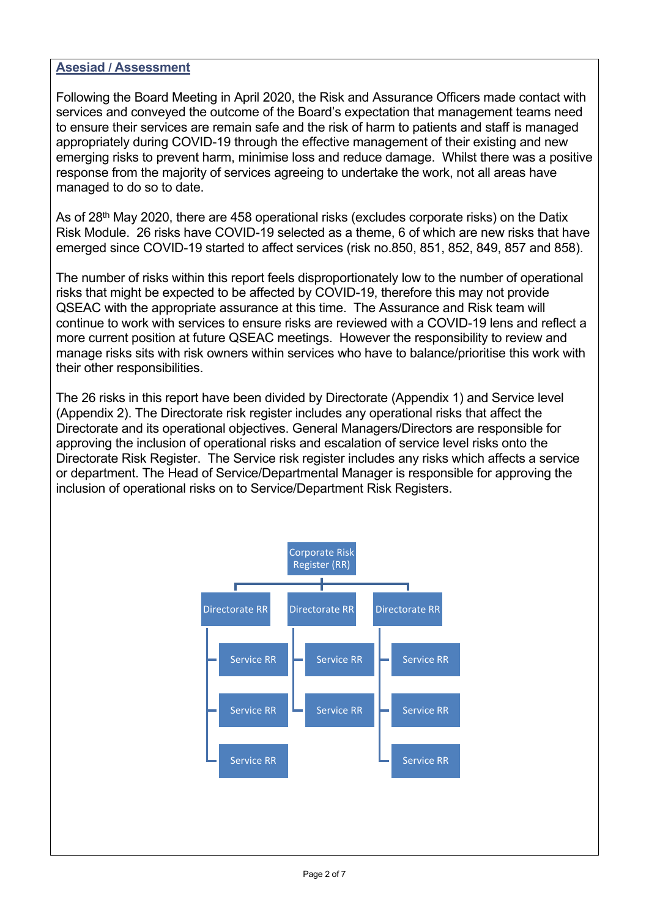### **Asesiad / Assessment**

Following the Board Meeting in April 2020, the Risk and Assurance Officers made contact with services and conveyed the outcome of the Board's expectation that management teams need to ensure their services are remain safe and the risk of harm to patients and staff is managed appropriately during COVID-19 through the effective management of their existing and new emerging risks to prevent harm, minimise loss and reduce damage. Whilst there was a positive response from the majority of services agreeing to undertake the work, not all areas have managed to do so to date.

As of 28<sup>th</sup> May 2020, there are 458 operational risks (excludes corporate risks) on the Datix Risk Module. 26 risks have COVID-19 selected as a theme, 6 of which are new risks that have emerged since COVID-19 started to affect services (risk no.850, 851, 852, 849, 857 and 858).

The number of risks within this report feels disproportionately low to the number of operational risks that might be expected to be affected by COVID-19, therefore this may not provide QSEAC with the appropriate assurance at this time. The Assurance and Risk team will continue to work with services to ensure risks are reviewed with a COVID-19 lens and reflect a more current position at future QSEAC meetings. However the responsibility to review and manage risks sits with risk owners within services who have to balance/prioritise this work with their other responsibilities.

The 26 risks in this report have been divided by Directorate (Appendix 1) and Service level (Appendix 2). The Directorate risk register includes any operational risks that affect the Directorate and its operational objectives. General Managers/Directors are responsible for approving the inclusion of operational risks and escalation of service level risks onto the Directorate Risk Register. The Service risk register includes any risks which affects a service or department. The Head of Service/Departmental Manager is responsible for approving the inclusion of operational risks on to Service/Department Risk Registers.

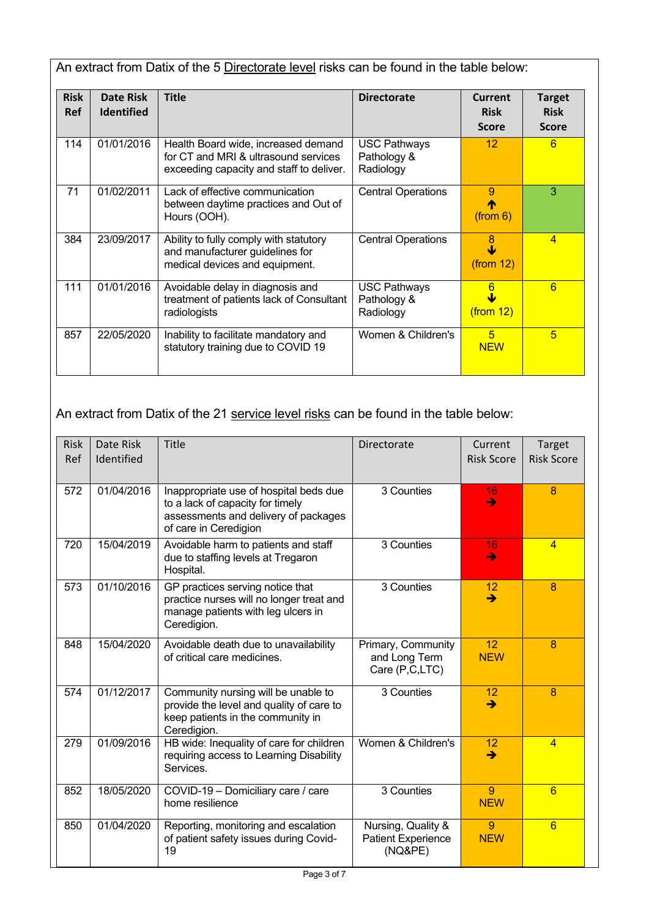An extract from Datix of the 5 Directorate level risks can be found in the table below:

| <b>Risk</b><br><b>Ref</b> | Date Risk<br><b>Identified</b> | <b>Title</b>                                                                                                            | <b>Directorate</b>                              | Current<br><b>Risk</b><br><b>Score</b> | <b>Target</b><br><b>Risk</b><br><b>Score</b> |
|---------------------------|--------------------------------|-------------------------------------------------------------------------------------------------------------------------|-------------------------------------------------|----------------------------------------|----------------------------------------------|
| 114                       | 01/01/2016                     | Health Board wide, increased demand<br>for CT and MRI & ultrasound services<br>exceeding capacity and staff to deliver. | <b>USC Pathways</b><br>Pathology &<br>Radiology | 12 <sup>2</sup>                        | 6                                            |
| 71                        | 01/02/2011                     | Lack of effective communication<br>between daytime practices and Out of<br>Hours (OOH).                                 | <b>Central Operations</b>                       | 9<br>(from 6)                          | 3                                            |
| 384                       | 23/09/2017                     | Ability to fully comply with statutory<br>and manufacturer guidelines for<br>medical devices and equipment.             | <b>Central Operations</b>                       | 8<br>(from 12)                         | $\overline{4}$                               |
| 111                       | 01/01/2016                     | Avoidable delay in diagnosis and<br>treatment of patients lack of Consultant<br>radiologists                            | <b>USC Pathways</b><br>Pathology &<br>Radiology | 6<br>$($ from 12 $)$                   | 6                                            |
| 857                       | 22/05/2020                     | Inability to facilitate mandatory and<br>statutory training due to COVID 19                                             | Women & Children's                              | 5<br><b>NEW</b>                        | 5                                            |

An extract from Datix of the 21 service level risks can be found in the table below:

| <b>Risk</b><br>Ref | Date Risk<br>Identified | <b>Title</b>                                                                                                                                | Directorate                                                | Current<br><b>Risk Score</b> | Target<br><b>Risk Score</b> |
|--------------------|-------------------------|---------------------------------------------------------------------------------------------------------------------------------------------|------------------------------------------------------------|------------------------------|-----------------------------|
| 572                | 01/04/2016              | Inappropriate use of hospital beds due<br>to a lack of capacity for timely<br>assessments and delivery of packages<br>of care in Ceredigion | 3 Counties                                                 | 16<br>$\rightarrow$          | 8                           |
| 720                | 15/04/2019              | Avoidable harm to patients and staff<br>due to staffing levels at Tregaron<br>Hospital.                                                     | 3 Counties                                                 | 16<br>$\rightarrow$          | $\overline{4}$              |
| 573                | 01/10/2016              | GP practices serving notice that<br>practice nurses will no longer treat and<br>manage patients with leg ulcers in<br>Ceredigion.           | 3 Counties                                                 | 12<br>$\rightarrow$          | 8                           |
| 848                | 15/04/2020              | Avoidable death due to unavailability<br>of critical care medicines.                                                                        | Primary, Community<br>and Long Term<br>Care (P,C,LTC)      | 12<br><b>NEW</b>             | 8                           |
| 574                | 01/12/2017              | Community nursing will be unable to<br>provide the level and quality of care to<br>keep patients in the community in<br>Ceredigion.         | 3 Counties                                                 | 12<br>$\rightarrow$          | 8                           |
| 279                | 01/09/2016              | HB wide: Inequality of care for children<br>requiring access to Learning Disability<br>Services.                                            | Women & Children's                                         | 12<br>→                      | $\overline{4}$              |
| 852                | 18/05/2020              | COVID-19 - Domiciliary care / care<br>home resilience                                                                                       | 3 Counties                                                 | 9<br><b>NEW</b>              | 6                           |
| 850                | 01/04/2020              | Reporting, monitoring and escalation<br>of patient safety issues during Covid-<br>19                                                        | Nursing, Quality &<br><b>Patient Experience</b><br>(NQ&PE) | 9<br><b>NEW</b>              | 6                           |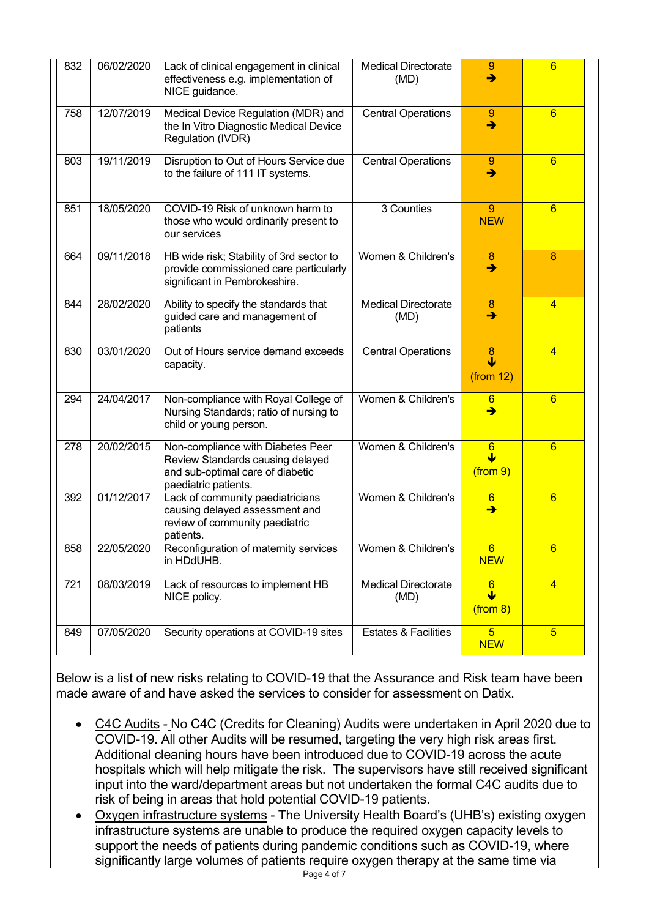| 832 | 06/02/2020 | Lack of clinical engagement in clinical<br>effectiveness e.g. implementation of<br>NICE guidance.                                 | <b>Medical Directorate</b><br>(MD) | 9<br>$\rightarrow$                                      | $6\overline{6}$ |
|-----|------------|-----------------------------------------------------------------------------------------------------------------------------------|------------------------------------|---------------------------------------------------------|-----------------|
| 758 | 12/07/2019 | Medical Device Regulation (MDR) and<br>the In Vitro Diagnostic Medical Device<br>Regulation (IVDR)                                | <b>Central Operations</b>          | 9<br>$\rightarrow$                                      | 6               |
| 803 | 19/11/2019 | Disruption to Out of Hours Service due<br>to the failure of 111 IT systems.                                                       | <b>Central Operations</b>          | 9<br>$\rightarrow$                                      | $6\overline{6}$ |
| 851 | 18/05/2020 | COVID-19 Risk of unknown harm to<br>those who would ordinarily present to<br>our services                                         | 3 Counties                         | 9<br><b>NEW</b>                                         | 6               |
| 664 | 09/11/2018 | HB wide risk; Stability of 3rd sector to<br>provide commissioned care particularly<br>significant in Pembrokeshire.               | Women & Children's                 | 8<br>$\rightarrow$                                      | $\overline{8}$  |
| 844 | 28/02/2020 | Ability to specify the standards that<br>guided care and management of<br>patients                                                | <b>Medical Directorate</b><br>(MD) | 8<br>$\rightarrow$                                      | $\overline{4}$  |
| 830 | 03/01/2020 | Out of Hours service demand exceeds<br>capacity.                                                                                  | <b>Central Operations</b>          | $\frac{8}{1}$<br>(from 12)                              | $\overline{4}$  |
| 294 | 24/04/2017 | Non-compliance with Royal College of<br>Nursing Standards; ratio of nursing to<br>child or young person.                          | Women & Children's                 | $6\phantom{.}6$<br>$\rightarrow$                        | $6\overline{6}$ |
| 278 | 20/02/2015 | Non-compliance with Diabetes Peer<br>Review Standards causing delayed<br>and sub-optimal care of diabetic<br>paediatric patients. | Women & Children's                 | $6 \overline{6}$<br>$\overline{\mathbf{v}}$<br>(from 9) | $6\overline{6}$ |
| 392 | 01/12/2017 | Lack of community paediatricians<br>causing delayed assessment and<br>review of community paediatric<br>patients.                 | Women & Children's                 | $6\phantom{1}6$<br>$\rightarrow$                        | $6\overline{6}$ |
| 858 | 22/05/2020 | Reconfiguration of maternity services<br>in HDdUHB.                                                                               | Women & Children's                 | $6\phantom{a}$<br><b>NEW</b>                            | 6               |
| 721 | 08/03/2019 | Lack of resources to implement HB<br>NICE policy.                                                                                 | <b>Medical Directorate</b><br>(MD) | $6 \overline{6}$<br>₩<br>(from 8)                       | $\overline{4}$  |
| 849 | 07/05/2020 | Security operations at COVID-19 sites                                                                                             | <b>Estates &amp; Facilities</b>    | $5\overline{)}$<br><b>NEW</b>                           | 5 <sub>5</sub>  |

Below is a list of new risks relating to COVID-19 that the Assurance and Risk team have been made aware of and have asked the services to consider for assessment on Datix.

- C4C Audits No C4C (Credits for Cleaning) Audits were undertaken in April 2020 due to COVID-19. All other Audits will be resumed, targeting the very high risk areas first. Additional cleaning hours have been introduced due to COVID-19 across the acute hospitals which will help mitigate the risk. The supervisors have still received significant input into the ward/department areas but not undertaken the formal C4C audits due to risk of being in areas that hold potential COVID-19 patients.
- Oxygen infrastructure systems The University Health Board's (UHB's) existing oxygen infrastructure systems are unable to produce the required oxygen capacity levels to support the needs of patients during pandemic conditions such as COVID-19, where significantly large volumes of patients require oxygen therapy at the same time via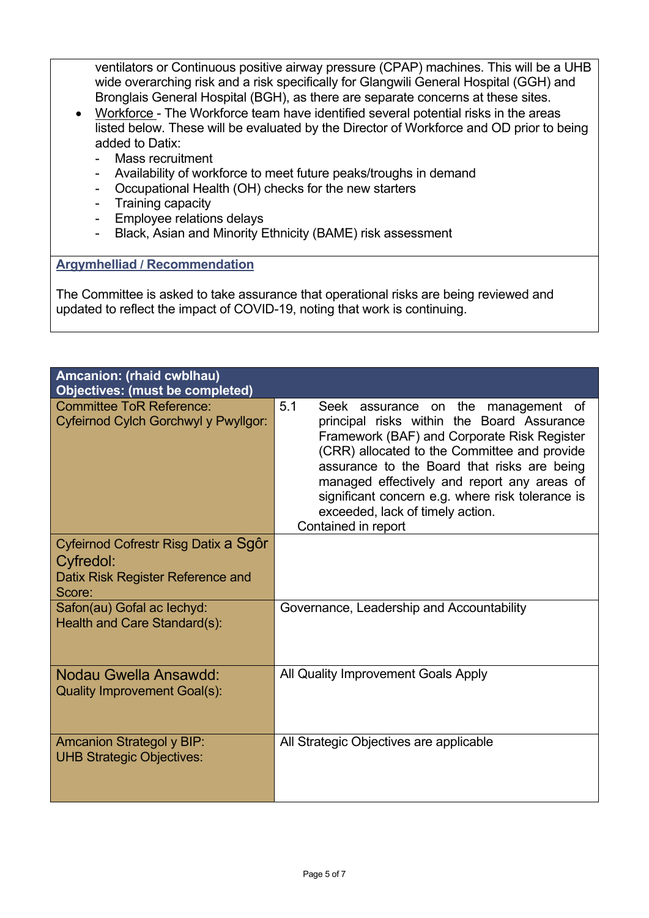ventilators or Continuous positive airway pressure (CPAP) machines. This will be a UHB wide overarching risk and a risk specifically for Glangwili General Hospital (GGH) and Bronglais General Hospital (BGH), as there are separate concerns at these sites.

- Workforce The Workforce team have identified several potential risks in the areas listed below. These will be evaluated by the Director of Workforce and OD prior to being added to Datix:
	- Mass recruitment
	- Availability of workforce to meet future peaks/troughs in demand
	- Occupational Health (OH) checks for the new starters
	- Training capacity
	- Employee relations delays
	- Black, Asian and Minority Ethnicity (BAME) risk assessment

### **Argymhelliad / Recommendation**

The Committee is asked to take assurance that operational risks are being reviewed and updated to reflect the impact of COVID-19, noting that work is continuing.

| Amcanion: (rhaid cwblhau)<br><b>Objectives: (must be completed)</b>                              |                                                                                                                                                                                                                                                                                                                                                                                                         |
|--------------------------------------------------------------------------------------------------|---------------------------------------------------------------------------------------------------------------------------------------------------------------------------------------------------------------------------------------------------------------------------------------------------------------------------------------------------------------------------------------------------------|
| <b>Committee ToR Reference:</b><br>Cyfeirnod Cylch Gorchwyl y Pwyllgor:                          | 5.1<br>Seek assurance on the<br>management of<br>principal risks within the Board Assurance<br>Framework (BAF) and Corporate Risk Register<br>(CRR) allocated to the Committee and provide<br>assurance to the Board that risks are being<br>managed effectively and report any areas of<br>significant concern e.g. where risk tolerance is<br>exceeded, lack of timely action.<br>Contained in report |
| Cyfeirnod Cofrestr Risg Datix a Sgôr<br>Cyfredol:<br>Datix Risk Register Reference and<br>Score: |                                                                                                                                                                                                                                                                                                                                                                                                         |
| Safon(au) Gofal ac lechyd:<br>Health and Care Standard(s):                                       | Governance, Leadership and Accountability                                                                                                                                                                                                                                                                                                                                                               |
| Nodau Gwella Ansawdd:<br><b>Quality Improvement Goal(s):</b>                                     | All Quality Improvement Goals Apply                                                                                                                                                                                                                                                                                                                                                                     |
| <b>Amcanion Strategol y BIP:</b><br><b>UHB Strategic Objectives:</b>                             | All Strategic Objectives are applicable                                                                                                                                                                                                                                                                                                                                                                 |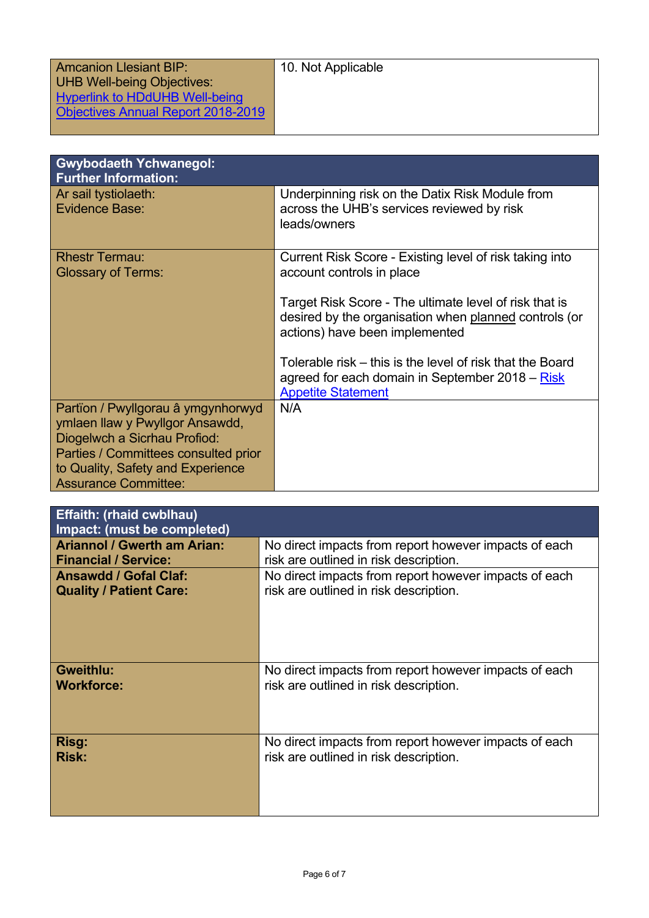| <b>Amcanion Llesiant BIP:</b>      | 10. Not Applicable |
|------------------------------------|--------------------|
| <b>UHB Well-being Objectives:</b>  |                    |
| Hyperlink to HDdUHB Well-being     |                    |
| Objectives Annual Report 2018-2019 |                    |
|                                    |                    |

| <b>Gwybodaeth Ychwanegol:</b><br><b>Further Information:</b>                                                                                                                                                      |                                                                                                                                                   |
|-------------------------------------------------------------------------------------------------------------------------------------------------------------------------------------------------------------------|---------------------------------------------------------------------------------------------------------------------------------------------------|
| Ar sail tystiolaeth:<br><b>Evidence Base:</b>                                                                                                                                                                     | Underpinning risk on the Datix Risk Module from<br>across the UHB's services reviewed by risk<br>leads/owners                                     |
| <b>Rhestr Termau:</b><br><b>Glossary of Terms:</b>                                                                                                                                                                | Current Risk Score - Existing level of risk taking into<br>account controls in place                                                              |
|                                                                                                                                                                                                                   | Target Risk Score - The ultimate level of risk that is<br>desired by the organisation when planned controls (or<br>actions) have been implemented |
|                                                                                                                                                                                                                   | Tolerable risk – this is the level of risk that the Board<br>agreed for each domain in September 2018 – Risk<br><b>Appetite Statement</b>         |
| Partïon / Pwyllgorau â ymgynhorwyd<br>ymlaen llaw y Pwyllgor Ansawdd,<br>Diogelwch a Sicrhau Profiod:<br>Parties / Committees consulted prior<br>to Quality, Safety and Experience<br><b>Assurance Committee:</b> | N/A                                                                                                                                               |

| <b>Effaith: (rhaid cwblhau)</b><br>Impact: (must be completed) |                                                       |
|----------------------------------------------------------------|-------------------------------------------------------|
| <b>Ariannol / Gwerth am Arian:</b>                             | No direct impacts from report however impacts of each |
| <b>Financial / Service:</b>                                    | risk are outlined in risk description.                |
| <b>Ansawdd / Gofal Claf:</b>                                   | No direct impacts from report however impacts of each |
| <b>Quality / Patient Care:</b>                                 | risk are outlined in risk description.                |
| <b>Gweithlu:</b>                                               | No direct impacts from report however impacts of each |
| <b>Workforce:</b>                                              | risk are outlined in risk description.                |
| Risg:                                                          | No direct impacts from report however impacts of each |
| <b>Risk:</b>                                                   | risk are outlined in risk description.                |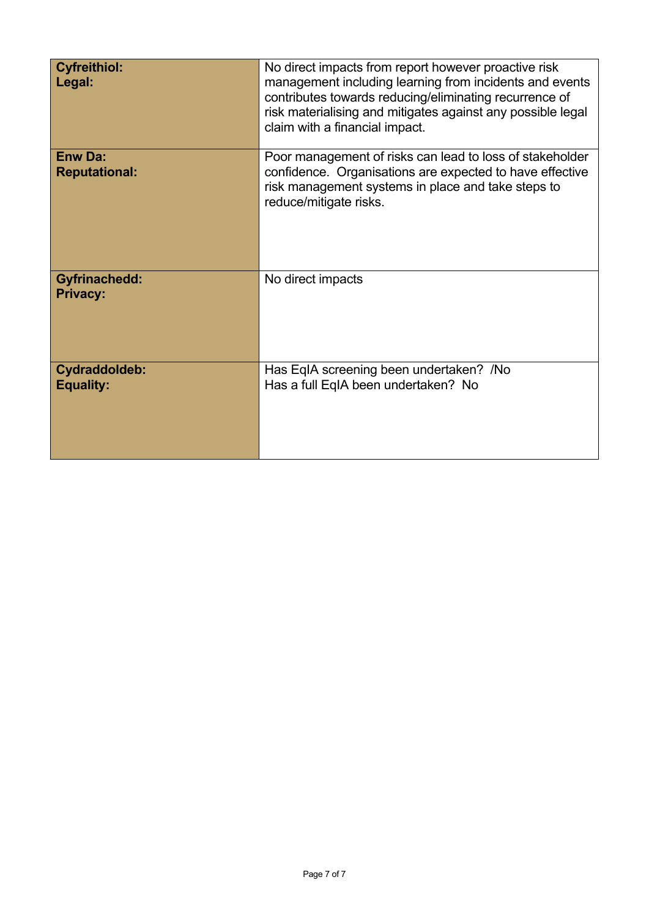| <b>Cyfreithiol:</b><br>Legal:           | No direct impacts from report however proactive risk<br>management including learning from incidents and events<br>contributes towards reducing/eliminating recurrence of<br>risk materialising and mitigates against any possible legal<br>claim with a financial impact. |
|-----------------------------------------|----------------------------------------------------------------------------------------------------------------------------------------------------------------------------------------------------------------------------------------------------------------------------|
| <b>Enw Da:</b><br><b>Reputational:</b>  | Poor management of risks can lead to loss of stakeholder<br>confidence. Organisations are expected to have effective<br>risk management systems in place and take steps to<br>reduce/mitigate risks.                                                                       |
| <b>Gyfrinachedd:</b><br><b>Privacy:</b> | No direct impacts                                                                                                                                                                                                                                                          |
| Cydraddoldeb:<br><b>Equality:</b>       | Has EqIA screening been undertaken? /No<br>Has a full EqIA been undertaken? No                                                                                                                                                                                             |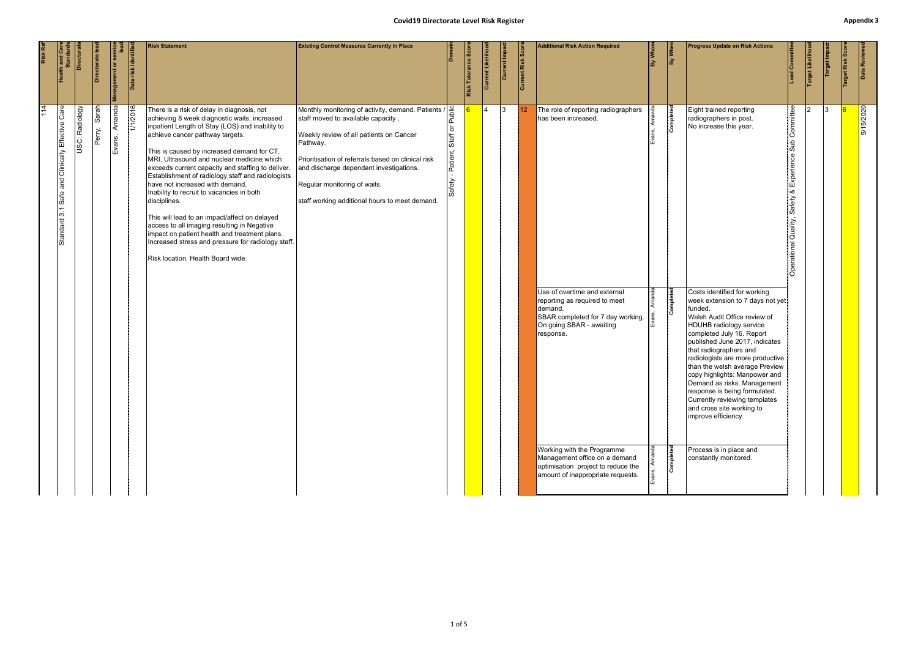#### **Covid19 Directorate Level Risk Register Appendix 3**

<span id="page-8-0"></span>

| Risk Ref    | <b>Health and Candar</b>                                       |                  | Directorate lea | lent or ser      | Date risk Identifie | <b>Risk Statement</b>                                                                                                                                                                                                                                                                                                                                                                                                                                                                                                                                                                                                                                                                                                              | <b>Existing Control Measures Currently in Place</b>                                                                                                                                                                                                                                                                                                              |                                                  | Risk Tolerance Scor | <b>Current Likelihood</b> | Current Impac | Current Risk Score | <b>Additional Risk Action Required</b>                                                                                                                                                                                                                                                                                                                         | By Whon    | By When                             | <b>Progress Update on Risk Actions</b>                                                                                                                                                                                                                                                                                                                                                                                                                                                                                                                                                                                                | $\frac{1}{\text{dom}}$                                                                        | Target Likeliho | Target Impa | Target Risk Sco | Date Reviewe |
|-------------|----------------------------------------------------------------|------------------|-----------------|------------------|---------------------|------------------------------------------------------------------------------------------------------------------------------------------------------------------------------------------------------------------------------------------------------------------------------------------------------------------------------------------------------------------------------------------------------------------------------------------------------------------------------------------------------------------------------------------------------------------------------------------------------------------------------------------------------------------------------------------------------------------------------------|------------------------------------------------------------------------------------------------------------------------------------------------------------------------------------------------------------------------------------------------------------------------------------------------------------------------------------------------------------------|--------------------------------------------------|---------------------|---------------------------|---------------|--------------------|----------------------------------------------------------------------------------------------------------------------------------------------------------------------------------------------------------------------------------------------------------------------------------------------------------------------------------------------------------------|------------|-------------------------------------|---------------------------------------------------------------------------------------------------------------------------------------------------------------------------------------------------------------------------------------------------------------------------------------------------------------------------------------------------------------------------------------------------------------------------------------------------------------------------------------------------------------------------------------------------------------------------------------------------------------------------------------|-----------------------------------------------------------------------------------------------|-----------------|-------------|-----------------|--------------|
| $\sqrt{14}$ | Care<br>Clinically Effective<br>and<br>Safe<br>3.1<br>Standard | Radiology<br>ίŠ. | Sarah<br>Perry, | Amanda<br>Evans, | 1/1/2016            | There is a risk of delay in diagnosis, not<br>achieving 8 week diagnostic waits, increased<br>inpatient Length of Stay (LOS) and inability to<br>achieve cancer pathway targets.<br>This is caused by increased demand for CT,<br>MRI, Ultrasound and nuclear medicine which<br>exceeds current capacity and staffing to deliver.<br>Establishment of radiology staff and radiologists<br>have not increased with demand.<br>Inability to recruit to vacancies in both<br>disciplines.<br>This will lead to an impact/affect on delayed<br>access to all imaging resulting in Negative<br>impact on patient health and treatment plans.<br>Increased stress and pressure for radiology staff.<br>Risk location, Health Board wide. | Monthly monitoring of activity, demand. Patients $\sqrt{\frac{Q}{\frac{Q}{Q}}}$<br>staff moved to available capacity .<br>Weekly review of all patients on Cancer<br>Pathway.<br>Prioritisation of referrals based on clinical risk<br>and discharge dependant investigations.<br>Regular monitoring of waits.<br>staff working additional hours to meet demand. | Staff or I<br>Patient,<br>$\mathbf{r}$<br>Safety |                     | $\overline{4}$            | 13            | 12 <sup>°</sup>    | The role of reporting radiographers<br>has been increased.<br>Use of overtime and external<br>reporting as required to meet<br>demand.<br>SBAR completed for 7 day working.<br>On going SBAR - awaiting<br>response.<br>Working with the Programme<br>Management office on a demand<br>optimisation project to reduce the<br>amount of inappropriate requests. | Evar<br>۱Š | Completed<br>Completed<br>Completed | Eight trained reporting<br>radiographers in post.<br>No increase this year.<br>Costs identified for working<br>week extension to 7 days not yet<br>funded.<br>Welsh Audit Office review of<br><b>HDUHB</b> radiology service<br>completed July 16. Report<br>published June 2017, indicates<br>that radiographers and<br>radiologists are more productive<br>than the welsh average Preview<br>copy highlights: Manpower and<br>Demand as risks. Management<br>response is being formulated.<br>Currently reviewing templates<br>and cross site working to<br>improve efficiency.<br>Process is in place and<br>constantly monitored. | Committee<br>Sub<br>Experien<br>∞ర<br>Safety<br>Quality,<br>perational<br>$\overline{\Omega}$ |                 | 13          |                 | 5/15/2020    |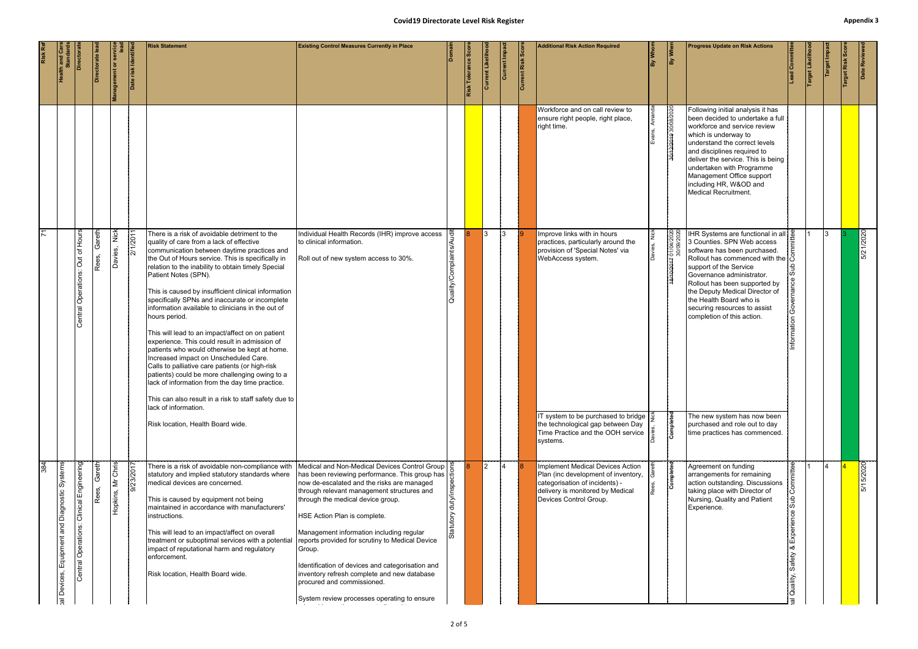#### **Covid19 Directorate Level Risk Register Appendix 3**

|          | <b>Health and Care</b><br>Standards                                                  | Directorate                              | Directorate le  | <b>Management or service</b> | Date risk Identifi | <b>Risk Statement</b>                                                                                                                                                                                                                                                                                                                                                                                                                                                                                                                                                                                                                                                                                                                                                                                                                                                                                                                   | <b>Existing Control Measures Currently in Place</b>                                                                                                                                                                                                                                                                                                                                                                                                                                                                                                                                 |                                    | Risk Tolerance Scor | Current Likeliho | Current Impact | <b>Current Risk Score</b> | <b>Additional Risk Action Required</b>                                                                                                                                                                                                                                | By Whom | By When                                                     | <b>Progress Update on Risk Actions</b>                                                                                                                                                                                                                                                                                                                                                                                                                                            | Committe                                     | Target Likeliho | Target Impa    | Target Risk Scor | Date Reviewed |
|----------|--------------------------------------------------------------------------------------|------------------------------------------|-----------------|------------------------------|--------------------|-----------------------------------------------------------------------------------------------------------------------------------------------------------------------------------------------------------------------------------------------------------------------------------------------------------------------------------------------------------------------------------------------------------------------------------------------------------------------------------------------------------------------------------------------------------------------------------------------------------------------------------------------------------------------------------------------------------------------------------------------------------------------------------------------------------------------------------------------------------------------------------------------------------------------------------------|-------------------------------------------------------------------------------------------------------------------------------------------------------------------------------------------------------------------------------------------------------------------------------------------------------------------------------------------------------------------------------------------------------------------------------------------------------------------------------------------------------------------------------------------------------------------------------------|------------------------------------|---------------------|------------------|----------------|---------------------------|-----------------------------------------------------------------------------------------------------------------------------------------------------------------------------------------------------------------------------------------------------------------------|---------|-------------------------------------------------------------|-----------------------------------------------------------------------------------------------------------------------------------------------------------------------------------------------------------------------------------------------------------------------------------------------------------------------------------------------------------------------------------------------------------------------------------------------------------------------------------|----------------------------------------------|-----------------|----------------|------------------|---------------|
|          |                                                                                      |                                          |                 |                              |                    |                                                                                                                                                                                                                                                                                                                                                                                                                                                                                                                                                                                                                                                                                                                                                                                                                                                                                                                                         |                                                                                                                                                                                                                                                                                                                                                                                                                                                                                                                                                                                     |                                    |                     |                  |                |                           | Workforce and on call review to<br>ensure right people, right place,<br>right time.                                                                                                                                                                                   |         | 30/12/2019 30/08/2020                                       | Following initial analysis it has<br>been decided to undertake a full<br>workforce and service review<br>which is underway to<br>understand the correct levels<br>and disciplines required to<br>deliver the service. This is being<br>undertaken with Programme<br>Management Office support<br>including HR, W&OD and<br>Medical Recruitment.                                                                                                                                   |                                              |                 |                |                  |               |
| 71       |                                                                                      | Central Operations: Out of Hours         | Gareth<br>Rees, | <b>Nick</b><br>Davies,       | 2/1/2011           | There is a risk of avoidable detriment to the<br>quality of care from a lack of effective<br>communication between daytime practices and<br>the Out of Hours service. This is specifically in<br>relation to the inability to obtain timely Special<br>Patient Notes (SPN).<br>This is caused by insufficient clinical information<br>specifically SPNs and inaccurate or incomplete<br>information available to clinicians in the out of<br>hours period.<br>This will lead to an impact/affect on on patient<br>experience. This could result in admission of<br>patients who would otherwise be kept at home.<br>Increased impact on Unscheduled Care.<br>Calls to palliative care patients (or high-risk<br>patients) could be more challenging owing to a<br>lack of information from the day time practice.<br>This can also result in a risk to staff safety due to<br>lack of information.<br>Risk location, Health Board wide. | Individual Health Records (IHR) improve access<br>to clinical information.<br>Roll out of new system access to 30%.                                                                                                                                                                                                                                                                                                                                                                                                                                                                 | 壱<br>Quality/Complaints/A          |                     | I3               | $ 3\rangle$    |                           | Improve links with in hours<br>practices, particularly around the<br>provision of 'Special Notes' via<br>WebAccess system.<br>IT system to be purchased to bridge $\frac{3}{2}$<br>the technological gap between Day<br>Time Practice and the OOH service<br>systems. |         | 0202/60/02<br>0202/b0/L0 <del>2L02/01/8L</del><br>Completed | IHR Systems are functional in all $\frac{0}{0}$<br>3 Counties. SPN Web access<br>software has been purchased.<br>Rollout has commenced with the $\frac{1}{2}$<br>support of the Service<br>Governance administrator.<br>Rollout has been supported by<br>the Deputy Medical Director of<br>the Health Board who is<br>securing resources to assist<br>completion of this action.<br>The new system has now been<br>purchased and role out to day<br>time practices has commenced. | nformation                                   |                 | 13.            |                  | 5/21/2020     |
| 384<br>1 | Equipment and Diagnostic Systems<br>Devices,<br>$\overline{\overline{\mathfrak{p}}}$ | Central Operations: Clinical Engineering | Gareth<br>Rees, | Mr Chris<br>Hopkins,         | 9/23/2017          | There is a risk of avoidable non-compliance with<br>statutory and implied statutory standards where<br>medical devices are concerned.<br>This is caused by equipment not being<br>maintained in accordance with manufacturers'<br>instructions.<br>This will lead to an impact/affect on overall<br>treatment or suboptimal services with a potential reports provided for scrutiny to Medical Device<br>impact of reputational harm and regulatory<br>enforcement.<br>Risk location, Health Board wide.                                                                                                                                                                                                                                                                                                                                                                                                                                | Medical and Non-Medical Devices Control Group<br>has been reviewing performance. This group has $\begin{bmatrix} \frac{1}{16} \\ \frac{1}{16} \\ \frac{1}{16} \end{bmatrix}$<br>now de-escalated and the risks are managed<br>through relevant management structures and<br>through the medical device group.<br>HSE Action Plan is complete.<br>Management information including regular<br>Group.<br>Identification of devices and categorisation and<br>inventory refresh complete and new database<br>procured and commissioned.<br>System review processes operating to ensure | duty/insp<br>Statutory<br>$2$ of 5 |                     | $ 2\rangle$      |                |                           | Implement Medical Devices Action<br>Plan (inc development of inventory,<br>categorisation of incidents) -<br>delivery is monitored by Medical<br>Devices Control Group.                                                                                               |         | Completed                                                   | Agreement on funding<br>arrangements for remaining<br>action outstanding. Discussions<br>taking place with Director of<br>Nursing, Quality and Patient<br>Experience.                                                                                                                                                                                                                                                                                                             | စိ<br>Experience<br>∣∞<br>Safety<br>Quality, |                 | $\overline{A}$ |                  | 5/15/2020     |
|          |                                                                                      |                                          |                 |                              |                    |                                                                                                                                                                                                                                                                                                                                                                                                                                                                                                                                                                                                                                                                                                                                                                                                                                                                                                                                         |                                                                                                                                                                                                                                                                                                                                                                                                                                                                                                                                                                                     |                                    |                     |                  |                |                           |                                                                                                                                                                                                                                                                       |         |                                                             |                                                                                                                                                                                                                                                                                                                                                                                                                                                                                   |                                              |                 |                |                  |               |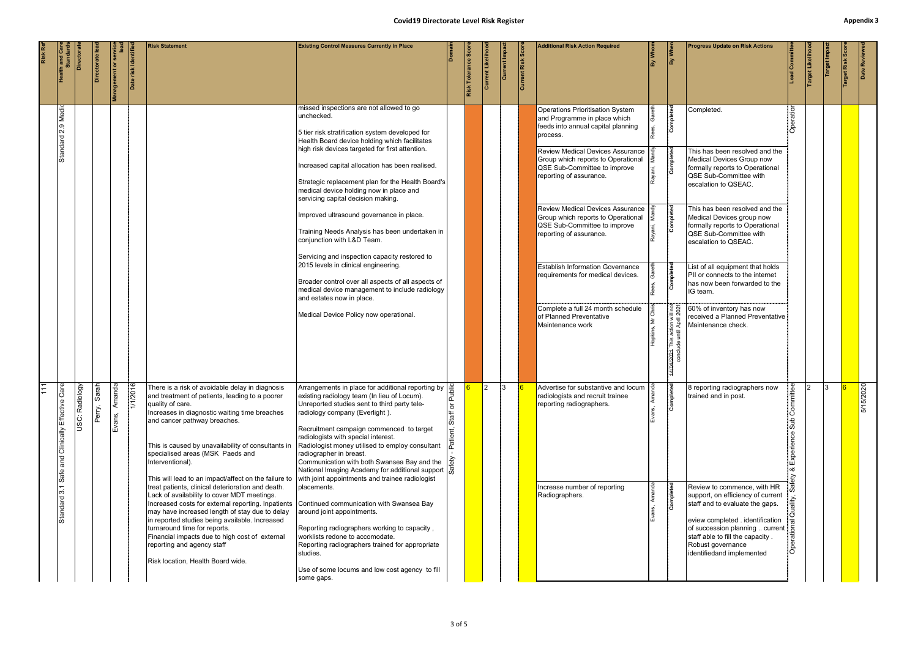## **Covid19 Directorate Level Risk Register Appendix 3** at<br>Tat

| Risk Ref | <b>Health and Care<br/>Standards</b>                            | Directora      | Directorate le     | <b>Management or servic</b> | Date risk Identifie | <b>Risk Statement</b>                                                                                                                                                                                                                                                                                                                                                                                                                                                                                                                                                                                                                                                                                                                                                                                                                    | <b>Covid19 Directorate Level Risk Register</b><br><b>Existing Control Measures Currently in Place</b>                                                                                                                                                                                                                                                                                                                                                                                                                                                                                                                                                                                                                                                                                                      |                 | Risk Tolerance Sco | Current Likeliho | Current Impa | Current Risk Scor | <b>Additional Risk Action Required</b>                                                                                                                                                                                                                                                                                                                                                                                                                                                                                                                                                | By Whom | By When                                                                                                                 | <b>Progress Update on Risk Actions</b>                                                                                                                                                                                                                                                                                                                                                                                                                                                                                                                  | <b>Lead Committee</b> | Target Likeliho | Target Impa | Appendix:<br>arget Risk Sco | Date Reviewed |
|----------|-----------------------------------------------------------------|----------------|--------------------|-----------------------------|---------------------|------------------------------------------------------------------------------------------------------------------------------------------------------------------------------------------------------------------------------------------------------------------------------------------------------------------------------------------------------------------------------------------------------------------------------------------------------------------------------------------------------------------------------------------------------------------------------------------------------------------------------------------------------------------------------------------------------------------------------------------------------------------------------------------------------------------------------------------|------------------------------------------------------------------------------------------------------------------------------------------------------------------------------------------------------------------------------------------------------------------------------------------------------------------------------------------------------------------------------------------------------------------------------------------------------------------------------------------------------------------------------------------------------------------------------------------------------------------------------------------------------------------------------------------------------------------------------------------------------------------------------------------------------------|-----------------|--------------------|------------------|--------------|-------------------|---------------------------------------------------------------------------------------------------------------------------------------------------------------------------------------------------------------------------------------------------------------------------------------------------------------------------------------------------------------------------------------------------------------------------------------------------------------------------------------------------------------------------------------------------------------------------------------|---------|-------------------------------------------------------------------------------------------------------------------------|---------------------------------------------------------------------------------------------------------------------------------------------------------------------------------------------------------------------------------------------------------------------------------------------------------------------------------------------------------------------------------------------------------------------------------------------------------------------------------------------------------------------------------------------------------|-----------------------|-----------------|-------------|-----------------------------|---------------|
|          | 2.9 Medic<br>Standard                                           |                |                    |                             |                     |                                                                                                                                                                                                                                                                                                                                                                                                                                                                                                                                                                                                                                                                                                                                                                                                                                          | missed inspections are not allowed to go<br>unchecked.<br>5 tier risk stratification system developed for<br>Health Board device holding which facilitates<br>high risk devices targeted for first attention.<br>Increased capital allocation has been realised.<br>Strategic replacement plan for the Health Board's<br>medical device holding now in place and<br>servicing capital decision making.<br>Improved ultrasound governance in place.<br>Training Needs Analysis has been undertaken in<br>conjunction with L&D Team.<br>Servicing and inspection capacity restored to<br>2015 levels in clinical engineering.<br>Broader control over all aspects of all aspects of<br>medical device management to include radiology<br>and estates now in place.<br>Medical Device Policy now operational. |                 |                    |                  |              |                   | <b>Operations Prioritisation System</b><br>and Programme in place which<br>feeds into annual capital planning<br>process.<br><b>Review Medical Devices Assurance</b><br>Group which reports to Operational<br>QSE Sub-Committee to improve<br>reporting of assurance.<br><b>Review Medical Devices Assurance</b><br>Group which reports to Operational<br>QSE Sub-Committee to improve<br>reporting of assurance.<br><b>Establish Information Governance</b><br>requirements for medical devices.<br>Complete a full 24 month schedule<br>of Planned Preventative<br>Maintenance work |         | Completed<br>Completed<br>Completed<br>Completed<br>action will r<br>Intil April 20:<br>4/04/2024 This a<br>conclude ur | Completed.<br>This has been resolved and the<br>Medical Devices Group now<br>formally reports to Operational<br>QSE Sub-Committee with<br>escalation to QSEAC.<br>This has been resolved and the<br>Medical Devices group now<br>formally reports to Operational<br>QSE Sub-Committee with<br>escalation to QSEAC.<br>List of all equipment that holds<br>PII or connects to the internet<br>has now been forwarded to the<br>IG team.<br>$\frac{5}{2}$ $\frac{5}{2}$ 60% of inventory has now<br>received a Planned Preventative<br>Maintenance check. | Operation             |                 |             |                             |               |
|          | Care<br>Effective<br>Clinically<br>and<br>Safe<br>ో<br>Standard | USC: Radiology | Sarah<br>ery.<br>I | Amanda<br>Evans,            | 1/1/2016            | There is a risk of avoidable delay in diagnosis<br>and treatment of patients, leading to a poorer<br>quality of care.<br>Increases in diagnostic waiting time breaches<br>and cancer pathway breaches.<br>This is caused by unavailability of consultants in<br>specialised areas (MSK Paeds and<br>Interventional).<br>This will lead to an impact/affect on the failure to<br>treat patients, clinical deterioration and death.<br>Lack of availability to cover MDT meetings.<br>Increased costs for external reporting. Inpatients Continued communication with Swansea Bay<br>may have increased length of stay due to delay<br>in reported studies being available. Increased<br>turnaround time for reports.<br>Financial impacts due to high cost of external<br>reporting and agency staff<br>Risk location, Health Board wide. | Arrangements in place for additional reporting by<br>existing radiology team (In lieu of Locum).<br>Unreported studies sent to third party tele-<br>radiology company (Everlight).<br>Recruitment campaign commenced to target<br>radiologists with special interest.<br>Radiologist money utilised to employ consultant<br>radiographer in breast.<br>Communication with both Swansea Bay and the<br>National Imaging Academy for additional support $\frac{1}{\sqrt{2}}$<br>with joint appointments and trainee radiologist<br>placements.<br>around joint appointments.<br>Reporting radiographers working to capacity,<br>worklists redone to accomodate.<br>Reporting radiographers trained for appropriate<br>studies.<br>Use of some locums and low cost agency to fill<br>some gaps.               | 훈<br>৯<br>Staff |                    | I2.              | 13.          |                   | Advertise for substantive and locum<br>radiologists and recruit trainee<br>reporting radiographers.<br>Increase number of reporting<br>Radiographers.                                                                                                                                                                                                                                                                                                                                                                                                                                 |         | Completed<br>Completed                                                                                                  | 8 reporting radiographers now<br>trained and in post.<br>Review to commence, with HR<br>support, on efficiency of current<br>staff and to evaluate the gaps.<br>eview completed . identification<br>of succession planning  current   &<br>staff able to fill the capacity.<br>Robust governance<br>identifiedand implemented                                                                                                                                                                                                                           | mittee<br>Experience  |                 | 13.         |                             | 5/15/2020     |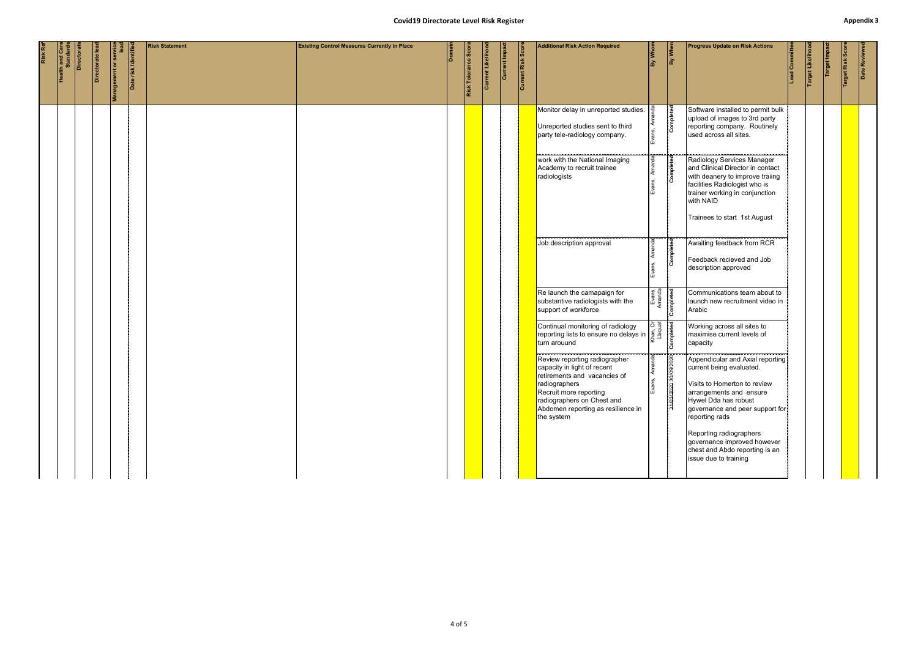#### **Covid19 Directorate Level Risk Register Appendix 3**

|                                      |            |                 |                                                |                      |                       | <b>Covid19 Directorate Level Risk Register</b>      |        |                     |                   |                      |                    |                                                                                                                                                                                                                                                                                                                                                |                               |                         |                                                                                                                                                                                                      |                  |               |                | <b>Appendix:</b> |  |
|--------------------------------------|------------|-----------------|------------------------------------------------|----------------------|-----------------------|-----------------------------------------------------|--------|---------------------|-------------------|----------------------|--------------------|------------------------------------------------------------------------------------------------------------------------------------------------------------------------------------------------------------------------------------------------------------------------------------------------------------------------------------------------|-------------------------------|-------------------------|------------------------------------------------------------------------------------------------------------------------------------------------------------------------------------------------------|------------------|---------------|----------------|------------------|--|
| <b>Health and Care<br/>Standards</b> | Directorat | Directorate lea | Management or service<br>Management or service | Date risk Identified | <b>Risk Statement</b> | <b>Existing Control Measures Currently in Place</b> | Domain | Risk Tolerance Scor | Current Likelihoo | <b>Current Impac</b> | Current Risk Score | <b>Additional Risk Action Required</b>                                                                                                                                                                                                                                                                                                         | By Whom                       | By When                 | <b>Progress Update on Risk Actions</b><br>Lead Committee                                                                                                                                             | Target Likelihoo | Target Impact | arget Risk Sco | Date Reviewed    |  |
|                                      |            |                 |                                                |                      |                       |                                                     |        |                     |                   |                      |                    | Monitor delay in unreported studies.<br>Unreported studies sent to third<br>party tele-radiology company.                                                                                                                                                                                                                                      | Evans,                        | Completed               | Software installed to permit bulk<br>upload of images to 3rd party<br>reporting company. Routinely<br>used across all sites.                                                                         |                  |               |                |                  |  |
|                                      |            |                 |                                                |                      |                       |                                                     |        |                     |                   |                      |                    | work with the National Imaging<br>Academy to recruit trainee<br>radiologists                                                                                                                                                                                                                                                                   |                               | Completed               | Radiology Services Manager<br>and Clinical Director in contact<br>with deanery to improve traiing<br>facilities Radiologist who is<br>trainer working in conjunction<br>with NAID                    |                  |               |                |                  |  |
|                                      |            |                 |                                                |                      |                       |                                                     |        |                     |                   |                      |                    | Job description approval                                                                                                                                                                                                                                                                                                                       |                               | pleted<br>$\frac{5}{5}$ | Trainees to start 1st August<br>Awaiting feedback from RCR<br>Feedback recieved and Job<br>description approved                                                                                      |                  |               |                |                  |  |
|                                      |            |                 |                                                |                      |                       |                                                     |        |                     |                   |                      |                    | Re launch the camapaign for<br>substantive radiologists with the<br>support of workforce                                                                                                                                                                                                                                                       | Evans,<br>Amanda<br>Completed |                         | Communications team about to<br>launch new recruitment video in<br>Arabic                                                                                                                            |                  |               |                |                  |  |
|                                      |            |                 |                                                |                      |                       |                                                     |        |                     |                   |                      |                    | Continual monitoring of radiology<br>reporting lists to ensure no delays in $\begin{bmatrix} 5 & \frac{13}{5} & \frac{13}{5} \\ \frac{13}{5} & \frac{13}{5} & \frac{13}{5} \\ \frac{13}{5} & \frac{13}{5} & \frac{13}{5} \\ \frac{13}{5} & \frac{13}{5} & \frac{13}{5} \\ \frac{13}{5} & \frac{13}{5} & \frac{13}{5} \\ \frac{13}{5} & \frac{$ |                               |                         | Working across all sites to<br>maximise current levels of<br>capacity                                                                                                                                |                  |               |                |                  |  |
|                                      |            |                 |                                                |                      |                       |                                                     |        |                     |                   |                      |                    | Review reporting radiographer<br>capacity in light of recent<br>retirements and vacancies of<br>radiographers<br>Recruit more reporting<br>radiographers on Chest and<br>Abdomen reporting as resilience in<br>the system                                                                                                                      | ξ<br>Evans                    | 31/03/2020 30/09/2020   | Appendicular and Axial reporting<br>current being evaluated.<br>Visits to Homerton to review<br>arrangements and ensure<br>Hywel Dda has robust<br>governance and peer support for<br>reporting rads |                  |               |                |                  |  |
|                                      |            |                 |                                                |                      |                       |                                                     |        |                     |                   |                      |                    |                                                                                                                                                                                                                                                                                                                                                |                               |                         | Reporting radiographers<br>governance improved however<br>chest and Abdo reporting is an<br>issue due to training                                                                                    |                  |               |                |                  |  |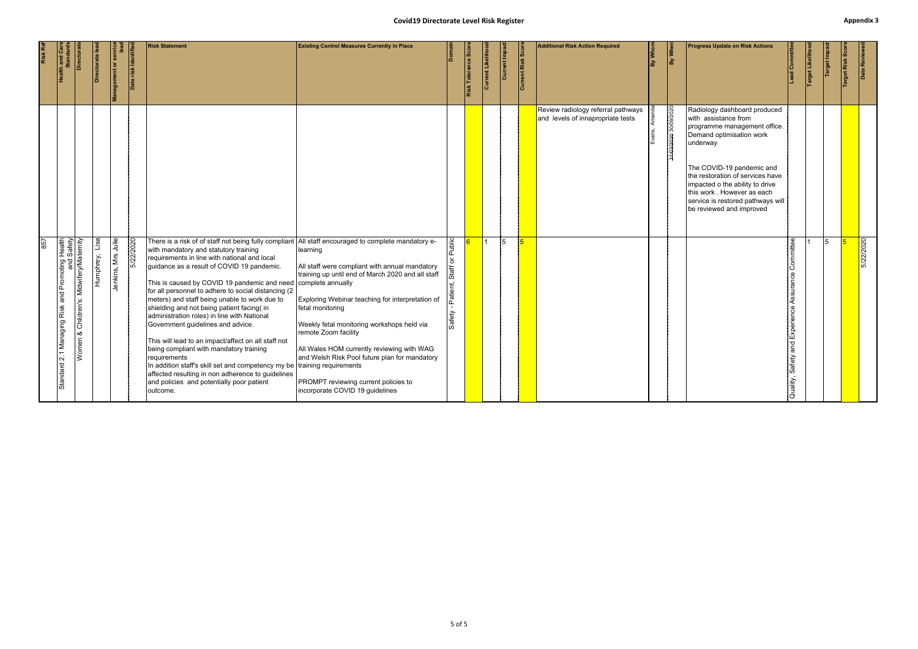#### **Covid19 Directorate Level Risk Register Appendix 3**

| Health and Care<br>Standards                                                                                                        | Director | Directorate lea | vice<br><b>Management or ser</b>          | Date risk Identifi | <b>Risk Statement</b>                                                                                                                                                                                                                                                                                                                                                                                                                                                                                                                                                                                                                                                                                                                                                                                                                                              | <b>Existing Control Measures Currently in Place</b>                                                                                                                                                                                                                                                                                                                                                                                     |                          | Risk Tolerance Scor | Current Likeliho | Current Impac | <b>Current Risk Score</b> | <b>Additional Risk Action Required</b>                                  | By Whom | By When               | <b>Progress Update on Risk Actions</b>                                                                                                                                                                                                                                                                                           | ead Committee                                                     | Target Likelihoo | Target Impa | Target Risk Sc | Date Reviewe |
|-------------------------------------------------------------------------------------------------------------------------------------|----------|-----------------|-------------------------------------------|--------------------|--------------------------------------------------------------------------------------------------------------------------------------------------------------------------------------------------------------------------------------------------------------------------------------------------------------------------------------------------------------------------------------------------------------------------------------------------------------------------------------------------------------------------------------------------------------------------------------------------------------------------------------------------------------------------------------------------------------------------------------------------------------------------------------------------------------------------------------------------------------------|-----------------------------------------------------------------------------------------------------------------------------------------------------------------------------------------------------------------------------------------------------------------------------------------------------------------------------------------------------------------------------------------------------------------------------------------|--------------------------|---------------------|------------------|---------------|---------------------------|-------------------------------------------------------------------------|---------|-----------------------|----------------------------------------------------------------------------------------------------------------------------------------------------------------------------------------------------------------------------------------------------------------------------------------------------------------------------------|-------------------------------------------------------------------|------------------|-------------|----------------|--------------|
|                                                                                                                                     |          |                 |                                           |                    |                                                                                                                                                                                                                                                                                                                                                                                                                                                                                                                                                                                                                                                                                                                                                                                                                                                                    |                                                                                                                                                                                                                                                                                                                                                                                                                                         |                          |                     |                  |               |                           | Review radiology referral pathways<br>and levels of innapropriate tests |         | 31/03/2020 30/09/2020 | Radiology dashboard produced<br>with assistance from<br>programme management office.<br>Demand optimisation work<br>underway<br>The COVID-19 pandemic and<br>the restoration of services have<br>impacted o the ability to drive<br>this work . However as each<br>service is restored pathways will<br>be reviewed and improved |                                                                   |                  |             |                |              |
| Standard 2.1 Managing Risk and Promoting Health<br>Women & Children's: MidwiferyMaternity<br>Women & Children's: MidwiferyMaternity |          | Humphrey, Lisa  | Julie<br>$\frac{1}{\sqrt{2}}$<br>Jenkins, | 5/22/2020          | There is a risk of of staff not being fully compliant All staff encouraged to complete mandatory e-<br>with mandatory and statutory training<br>requirements in line with national and local<br>guidance as a result of COVID 19 pandemic.<br>This is caused by COVID 19 pandemic and need complete annually<br>for all personnel to adhere to social distancing (2<br>meters) and staff being unable to work due to<br>shielding and not being patient facing( in<br>administration roles) in line with National<br>Government guidelines and advice.<br>This will lead to an impact/affect on all staff not<br>being compliant with mandatory training<br>requirements<br>In addition staff's skill set and competency my be training requirements<br>affected resulting in non adherence to guidelines<br>and policies and potentially poor patient<br>outcome. | learning<br>All staff were compliant with annual mandatory<br>training up until end of March 2020 and all staff<br>Exploring Webinar teaching for interpretation of<br>fetal monitoring<br>Weekly fetal monitoring workshops held via<br>remote Zoom facility<br>All Wales HOM currently reviewing with WAG<br>and Welsh Risk Pool future plan for mandatory<br>PROMPT reviewing current policies to<br>incorporate COVID 19 guidelines | Public<br>Pati<br>Safety |                     | $\vert$ 1        | 5             | 5                         |                                                                         |         |                       |                                                                                                                                                                                                                                                                                                                                  | Committee<br>Assurance<br>Experience<br>and<br>Safety<br>Quality, |                  | 15          |                | 5/22/2020    |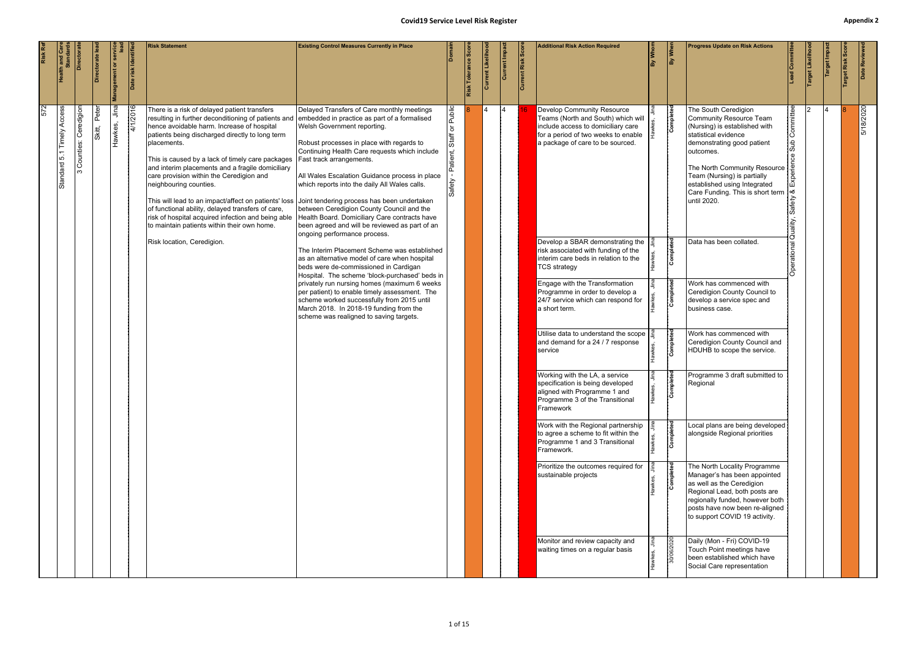<span id="page-13-0"></span>

| Risk Ref |                                               | Directora               | Directorate le | Management or ser | Date risk Identifie | <b>Risk Statement</b>                                                                                                                                                                                                                                                                                                                                                                                                                                                                                                                                                                                                                                                                                                                       | <b>Existing Control Measures Currently in Place</b>                                                                                                                                                                                                                                                                                                                                                                                                                                                                                                                                                                                                                               |                                                           | Risk Tolerance Sco | Current Likelih | Current Impa | Current Risk Scor | <b>Additional Risk Action Required</b>                                                                                                                                                                                                                                                                                             | $\frac{1}{\sqrt{2}}$ | By When                | <b>Progress Update on Risk Actions</b>                                                                                                                                                                                                                                                                                                      | ead Committee                                                       | arget Likelih | Target Impa | Date Reviewe |
|----------|-----------------------------------------------|-------------------------|----------------|-------------------|---------------------|---------------------------------------------------------------------------------------------------------------------------------------------------------------------------------------------------------------------------------------------------------------------------------------------------------------------------------------------------------------------------------------------------------------------------------------------------------------------------------------------------------------------------------------------------------------------------------------------------------------------------------------------------------------------------------------------------------------------------------------------|-----------------------------------------------------------------------------------------------------------------------------------------------------------------------------------------------------------------------------------------------------------------------------------------------------------------------------------------------------------------------------------------------------------------------------------------------------------------------------------------------------------------------------------------------------------------------------------------------------------------------------------------------------------------------------------|-----------------------------------------------------------|--------------------|-----------------|--------------|-------------------|------------------------------------------------------------------------------------------------------------------------------------------------------------------------------------------------------------------------------------------------------------------------------------------------------------------------------------|----------------------|------------------------|---------------------------------------------------------------------------------------------------------------------------------------------------------------------------------------------------------------------------------------------------------------------------------------------------------------------------------------------|---------------------------------------------------------------------|---------------|-------------|--------------|
| 572      | Access<br>Timely<br>$\dot{\circ}$<br>Standard | Ceredigion<br>Counties: | Peter<br>kitt, | Jina<br>Hawkes,   | 4/1/2016            | There is a risk of delayed patient transfers<br>resulting in further deconditioning of patients and<br>hence avoidable harm. Increase of hospital<br>patients being discharged directly to long term<br>placements.<br>This is caused by a lack of timely care packages<br>and interim placements and a fragile domiciliary<br>care provision within the Ceredigion and<br>neighbouring counties.<br>This will lead to an impact/affect on patients' loss Joint tendering process has been undertaken<br>of functional ability, delayed transfers of care,<br>risk of hospital acquired infection and being able Health Board. Domiciliary Care contracts have<br>to maintain patients within their own home.<br>Risk location, Ceredigion. | Delayed Transfers of Care monthly meetings<br>embedded in practice as part of a formalised<br>Welsh Government reporting.<br>Robust processes in place with regards to<br>Continuing Health Care requests which include<br>Fast track arrangements.<br>All Wales Escalation Guidance process in place<br>which reports into the daily All Wales calls.<br>between Ceredigion County Council and the<br>been agreed and will be reviewed as part of an<br>ongoing performance process.<br>The Interim Placement Scheme was established<br>as an alternative model of care when hospital<br>beds were de-commissioned in Cardigan<br>Hospital. The scheme 'block-purchased' beds in | Public<br>$\overleftarrow{\mathrm{o}}$<br>Staff<br>Safety |                    |                 | l4           |                   | <b>Develop Community Resource</b><br>Teams (North and South) which will<br>include access to domiciliary care<br>for a period of two weeks to enable<br>a package of care to be sourced.<br>Develop a SBAR demonstrating the<br>risk associated with funding of the<br>interim care beds in relation to the<br><b>TCS strategy</b> |                      | Completed<br>Completed | The South Ceredigion<br><b>Community Resource Team</b><br>(Nursing) is established with<br>statistical evidence<br>demonstrating good patient<br>outcomes.<br>The North Community Resource   9<br>Team (Nursing) is partially<br>established using Integrated<br>Care Funding. This is short term<br>until 2020.<br>Data has been collated. | Committee<br><b>Jus</b><br>∣∝ర<br>Safety<br>Quality,<br>Operational |               |             | 5/18/2020    |
|          |                                               |                         |                |                   |                     |                                                                                                                                                                                                                                                                                                                                                                                                                                                                                                                                                                                                                                                                                                                                             | privately run nursing homes (maximum 6 weeks<br>per patient) to enable timely assessment. The<br>scheme worked successfully from 2015 until<br>March 2018. In 2018-19 funding from the<br>scheme was realigned to saving targets.                                                                                                                                                                                                                                                                                                                                                                                                                                                 |                                                           |                    |                 |              |                   | Engage with the Transformation<br>Programme in order to develop a<br>24/7 service which can respond for<br>a short term.                                                                                                                                                                                                           |                      | Completed              | Work has commenced with<br>Ceredigion County Council to<br>develop a service spec and<br>business case.                                                                                                                                                                                                                                     |                                                                     |               |             |              |
|          |                                               |                         |                |                   |                     |                                                                                                                                                                                                                                                                                                                                                                                                                                                                                                                                                                                                                                                                                                                                             |                                                                                                                                                                                                                                                                                                                                                                                                                                                                                                                                                                                                                                                                                   |                                                           |                    |                 |              |                   | Utilise data to understand the scope<br>and demand for a 24 / 7 response<br>service                                                                                                                                                                                                                                                |                      | Completed              | Work has commenced with<br>Ceredigion County Council and<br>HDUHB to scope the service.                                                                                                                                                                                                                                                     |                                                                     |               |             |              |
|          |                                               |                         |                |                   |                     |                                                                                                                                                                                                                                                                                                                                                                                                                                                                                                                                                                                                                                                                                                                                             |                                                                                                                                                                                                                                                                                                                                                                                                                                                                                                                                                                                                                                                                                   |                                                           |                    |                 |              |                   | Working with the LA, a service<br>specification is being developed<br>aligned with Programme 1 and<br>Programme 3 of the Transitional<br>Framework                                                                                                                                                                                 |                      | $\frac{1}{2}$          | Programme 3 draft submitted to<br>Regional                                                                                                                                                                                                                                                                                                  |                                                                     |               |             |              |
|          |                                               |                         |                |                   |                     |                                                                                                                                                                                                                                                                                                                                                                                                                                                                                                                                                                                                                                                                                                                                             |                                                                                                                                                                                                                                                                                                                                                                                                                                                                                                                                                                                                                                                                                   |                                                           |                    |                 |              |                   | Work with the Regional partnership<br>to agree a scheme to fit within the<br>Programme 1 and 3 Transitional<br>Framework.                                                                                                                                                                                                          |                      | Completed              | Local plans are being developed<br>alongside Regional priorities                                                                                                                                                                                                                                                                            |                                                                     |               |             |              |
|          |                                               |                         |                |                   |                     |                                                                                                                                                                                                                                                                                                                                                                                                                                                                                                                                                                                                                                                                                                                                             |                                                                                                                                                                                                                                                                                                                                                                                                                                                                                                                                                                                                                                                                                   |                                                           |                    |                 |              |                   | Prioritize the outcomes required for<br>sustainable projects                                                                                                                                                                                                                                                                       |                      | Completed              | The North Locality Programme<br>Manager's has been appointed<br>as well as the Ceredigion<br>Regional Lead, both posts are<br>regionally funded, however both<br>posts have now been re-aligned<br>to support COVID 19 activity.                                                                                                            |                                                                     |               |             |              |
|          |                                               |                         |                |                   |                     |                                                                                                                                                                                                                                                                                                                                                                                                                                                                                                                                                                                                                                                                                                                                             |                                                                                                                                                                                                                                                                                                                                                                                                                                                                                                                                                                                                                                                                                   |                                                           |                    |                 |              |                   | Monitor and review capacity and<br>waiting times on a regular basis                                                                                                                                                                                                                                                                |                      | 30/06/2020             | Daily (Mon - Fri) COVID-19<br>Touch Point meetings have<br>been established which have<br>Social Care representation                                                                                                                                                                                                                        |                                                                     |               |             |              |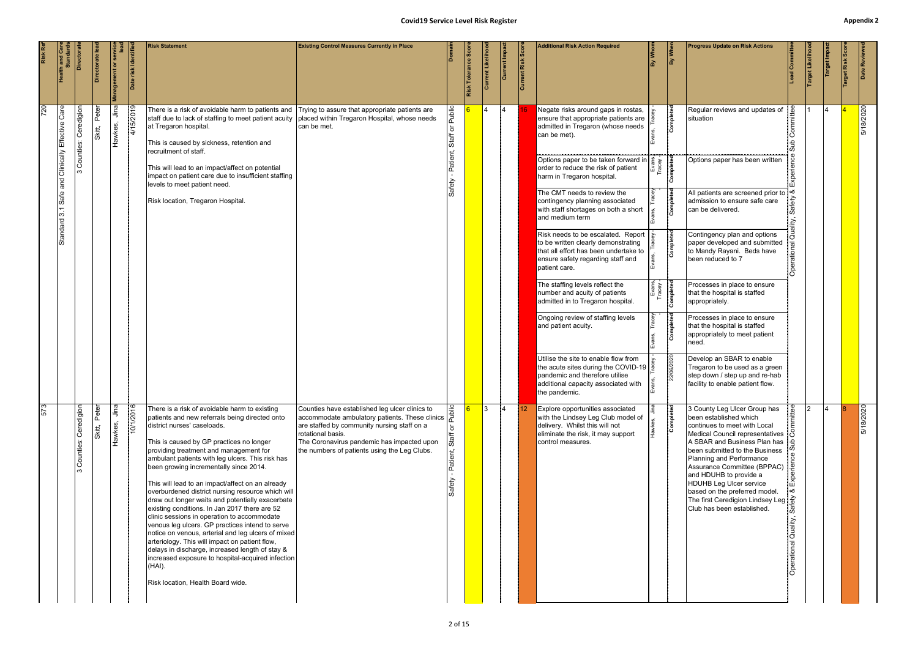|     | <b>Health and Care</b><br>Standards | Directorat                | Directorate lea     | <b>Management or servic</b> | Date risk Identifi | <b>Risk Statement</b>                                                                                                                                                                                                                                                                                                                                                                                                                                                                                                                                                                                                                                                                                                                                                                                                                                                                             | <b>Existing Control Measures Currently in Place</b>                                                                                                                                                                                                                              |                      | Risk Tolerance Sc | ent Likelih    | Current Impac | Current Risk Scor | <b>Additional Risk Action Required</b>                                                                                                                                              | By Whom            | By When   | <b>Progress Update on Risk Actions</b>                                                                                                                                                                                                                                                                                                                                                                                              |                               | Target Likeliho | Target Impa | arget Risk Sco | Date Reviewe |
|-----|-------------------------------------|---------------------------|---------------------|-----------------------------|--------------------|---------------------------------------------------------------------------------------------------------------------------------------------------------------------------------------------------------------------------------------------------------------------------------------------------------------------------------------------------------------------------------------------------------------------------------------------------------------------------------------------------------------------------------------------------------------------------------------------------------------------------------------------------------------------------------------------------------------------------------------------------------------------------------------------------------------------------------------------------------------------------------------------------|----------------------------------------------------------------------------------------------------------------------------------------------------------------------------------------------------------------------------------------------------------------------------------|----------------------|-------------------|----------------|---------------|-------------------|-------------------------------------------------------------------------------------------------------------------------------------------------------------------------------------|--------------------|-----------|-------------------------------------------------------------------------------------------------------------------------------------------------------------------------------------------------------------------------------------------------------------------------------------------------------------------------------------------------------------------------------------------------------------------------------------|-------------------------------|-----------------|-------------|----------------|--------------|
| 720 | and Clinically Effective Care       | Ceredigion<br>Counties:   | Peter<br><br>Skitt, | Jina<br>Hawkes,             | 4/15/2019          | There is a risk of avoidable harm to patients and<br>staff due to lack of staffing to meet patient acuity placed within Tregaron Hospital, whose needs<br>at Tregaron hospital.<br>This is caused by sickness, retention and<br>recruitment of staff.                                                                                                                                                                                                                                                                                                                                                                                                                                                                                                                                                                                                                                             | Trying to assure that appropriate patients are<br>can be met.                                                                                                                                                                                                                    | Public<br>১<br>Staff |                   | $\overline{4}$ |               |                   | Negate risks around gaps in rostas,<br>ensure that appropriate patients are<br>admitted in Tregaron (whose needs<br>can be met).                                                    |                    | Completed | Regular reviews and updates of<br>situation                                                                                                                                                                                                                                                                                                                                                                                         |                               |                 |             |                | 5/18/2020    |
|     |                                     | ო                         |                     |                             |                    | This will lead to an impact/affect on potential<br>impact on patient care due to insufficient staffing<br>levels to meet patient need.                                                                                                                                                                                                                                                                                                                                                                                                                                                                                                                                                                                                                                                                                                                                                            |                                                                                                                                                                                                                                                                                  | Patier<br>ěŅ         |                   |                |               |                   | Options paper to be taken forward in $\begin{bmatrix} a & b \\ b & d \\ c & d \end{bmatrix}$<br>order to reduce the risk of patient<br>harm in Tregaron hospital.                   |                    |           | Options paper has been written                                                                                                                                                                                                                                                                                                                                                                                                      |                               |                 |             |                |              |
|     | Safe<br>3.1                         |                           |                     |                             |                    | Risk location, Tregaron Hospital.                                                                                                                                                                                                                                                                                                                                                                                                                                                                                                                                                                                                                                                                                                                                                                                                                                                                 |                                                                                                                                                                                                                                                                                  |                      |                   |                |               |                   | The CMT needs to review the<br>contingency planning associated<br>with staff shortages on both a short<br>and medium term                                                           |                    | Completed | All patients are screened prior to<br>admission to ensure safe care<br>can be delivered.                                                                                                                                                                                                                                                                                                                                            |                               |                 |             |                |              |
|     | Standard                            |                           |                     |                             |                    |                                                                                                                                                                                                                                                                                                                                                                                                                                                                                                                                                                                                                                                                                                                                                                                                                                                                                                   |                                                                                                                                                                                                                                                                                  |                      |                   |                |               |                   | Risk needs to be escalated. Report<br>to be written clearly demonstrating<br>that all effort has been undertake to<br>ensure safety regarding staff and<br>patient care.            |                    | Completed | Contingency plan and options<br>paper developed and submitted<br>to Mandy Rayani. Beds have<br>been reduced to 7                                                                                                                                                                                                                                                                                                                    |                               |                 |             |                |              |
|     |                                     |                           |                     |                             |                    |                                                                                                                                                                                                                                                                                                                                                                                                                                                                                                                                                                                                                                                                                                                                                                                                                                                                                                   |                                                                                                                                                                                                                                                                                  |                      |                   |                |               |                   | The staffing levels reflect the<br>number and acuity of patients<br>admitted in to Tregaron hospital.                                                                               | Evans,<br>Tracey - | Completed | Processes in place to ensure<br>that the hospital is staffed<br>appropriately.                                                                                                                                                                                                                                                                                                                                                      |                               |                 |             |                |              |
|     |                                     |                           |                     |                             |                    |                                                                                                                                                                                                                                                                                                                                                                                                                                                                                                                                                                                                                                                                                                                                                                                                                                                                                                   |                                                                                                                                                                                                                                                                                  |                      |                   |                |               |                   | Ongoing review of staffing levels<br>and patient acuity.                                                                                                                            |                    | Completed | Processes in place to ensure<br>that the hospital is staffed<br>appropriately to meet patient<br>need.                                                                                                                                                                                                                                                                                                                              |                               |                 |             |                |              |
|     |                                     |                           |                     |                             |                    |                                                                                                                                                                                                                                                                                                                                                                                                                                                                                                                                                                                                                                                                                                                                                                                                                                                                                                   |                                                                                                                                                                                                                                                                                  |                      |                   |                |               |                   | Utilise the site to enable flow from<br>the acute sites during the COVID-19 $\frac{6}{6}$<br>pandemic and therefore utilise<br>additional capacity associated with<br>the pandemic. |                    | 106/2020  | Develop an SBAR to enable<br>Tregaron to be used as a green<br>step down / step up and re-hab<br>facility to enable patient flow.                                                                                                                                                                                                                                                                                                   |                               |                 |             |                |              |
| 573 |                                     | Counties: Ceredigion<br>ო | Peter<br>Skitt,     | Jina<br>Hawkes,             | 10/1/2016          | There is a risk of avoidable harm to existing<br>patients and new referrals being directed onto<br>district nurses' caseloads.<br>This is caused by GP practices no longer<br>providing treatment and management for<br>ambulant patients with leg ulcers. This risk has<br>been growing incrementally since 2014.<br>This will lead to an impact/affect on an already<br>overburdened district nursing resource which will<br>draw out longer waits and potentially exacerbate<br>existing conditions. In Jan 2017 there are 52<br>clinic sessions in operation to accommodate<br>venous leg ulcers. GP practices intend to serve<br>notice on venous, arterial and leg ulcers of mixed<br>arteriology. This will impact on patient flow,<br>delays in discharge, increased length of stay &<br>increased exposure to hospital-acquired infection<br>(HAI).<br>Risk location, Health Board wide. | Counties have established leg ulcer clinics to $\frac{2}{3}$<br>accommodate ambulatory patients. These clinics<br>are staffed by community nursing staff on a<br>rotational basis.<br>The Coronavirus pandemic has impacted upon<br>the numbers of patients using the Leg Clubs. | Patient,<br>Safety   | $\overline{6}$    | $\mathsf{13}$  | $\vert$ 4     | $ 12\rangle$      | Explore opportunities associated<br>with the Lindsey Leg Club model of<br>delivery. Whilst this will not<br>eliminate the risk, it may support<br>control measures.                 |                    | Completed | 3 County Leg Ulcer Group has<br>been established which<br>continues to meet with Local<br>Medical Council representatives<br>A SBAR and Business Plan has<br>been submitted to the Business<br>Planning and Performance<br>Assurance Committee (BPPAC)<br>and HDUHB to provide a<br><b>HDUHB Leg Ulcer service</b><br>based on the preferred model.<br>The first Ceredigion Lindsey Leg $\frac{2}{5}$<br>Club has been established. | Exper<br>uality,<br>erational | $\mathcal{L}$   | 14          |                | 5/18/2020    |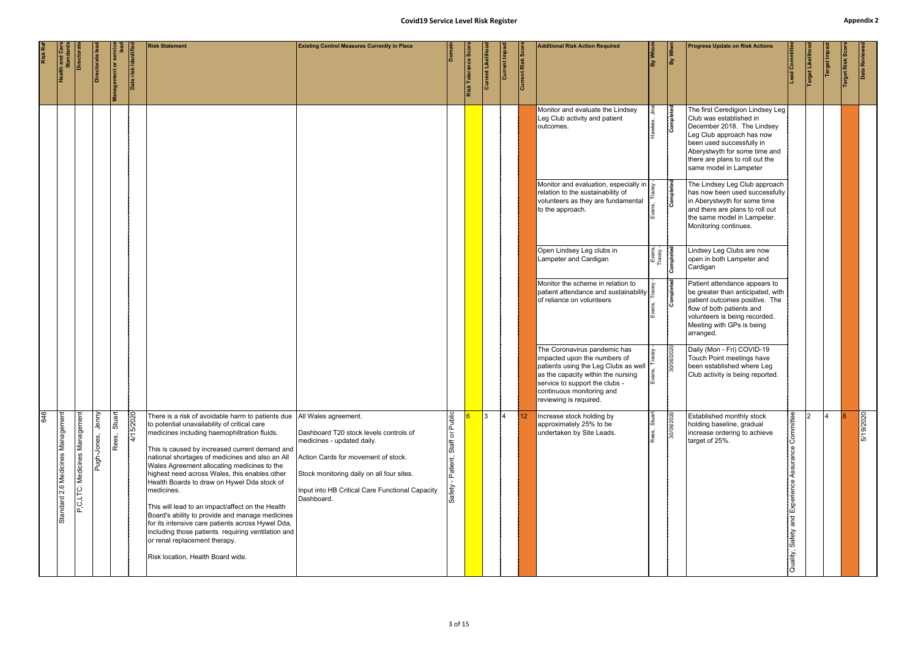|     |                                     |                               |                      |                                                |                     |                                                                                                                                                                                                                                                                                                                                                                                                                                                                                                                                                                                                                                                                                                             | <b>Covid19 Service Level Risk Register</b>                                                                                                                                                                                                        |                                                                      |                    |                   |                 |                   |                                                                                                                                                                                                                                     |                                 |            |                                                                                                                                                                                                                                                   |                                                                |                  |                |                | <b>Appendix</b> |
|-----|-------------------------------------|-------------------------------|----------------------|------------------------------------------------|---------------------|-------------------------------------------------------------------------------------------------------------------------------------------------------------------------------------------------------------------------------------------------------------------------------------------------------------------------------------------------------------------------------------------------------------------------------------------------------------------------------------------------------------------------------------------------------------------------------------------------------------------------------------------------------------------------------------------------------------|---------------------------------------------------------------------------------------------------------------------------------------------------------------------------------------------------------------------------------------------------|----------------------------------------------------------------------|--------------------|-------------------|-----------------|-------------------|-------------------------------------------------------------------------------------------------------------------------------------------------------------------------------------------------------------------------------------|---------------------------------|------------|---------------------------------------------------------------------------------------------------------------------------------------------------------------------------------------------------------------------------------------------------|----------------------------------------------------------------|------------------|----------------|----------------|-----------------|
|     | <b>Health and Care</b><br>Standards | Directora                     | Directorate le       | Management or service<br>Management or service | Date risk Identifie | <b>Risk Statement</b>                                                                                                                                                                                                                                                                                                                                                                                                                                                                                                                                                                                                                                                                                       | <b>Existing Control Measures Currently in Place</b>                                                                                                                                                                                               |                                                                      | Risk Tolerance Sco | Current Likelihoo | Current Impa    | Current Risk Scor | <b>Additional Risk Action Required</b>                                                                                                                                                                                              | By Whom                         | By When    | <b>Progress Update on Risk Actions</b>                                                                                                                                                                                                            | Lead Committer                                                 | Target Likelihoo | Target Impa    | Target Risk Sc | Date Reviewe    |
|     |                                     |                               |                      |                                                |                     |                                                                                                                                                                                                                                                                                                                                                                                                                                                                                                                                                                                                                                                                                                             |                                                                                                                                                                                                                                                   |                                                                      |                    |                   |                 |                   | Monitor and evaluate the Lindsey<br>Leg Club activity and patient<br>outcomes.                                                                                                                                                      |                                 | Completed  | The first Ceredigion Lindsey Leg<br>Club was established in<br>December 2018. The Lindsey<br>Leg Club approach has now<br>been used successfully in<br>Aberystwyth for some time and<br>there are plans to roll out the<br>same model in Lampeter |                                                                |                  |                |                |                 |
|     |                                     |                               |                      |                                                |                     |                                                                                                                                                                                                                                                                                                                                                                                                                                                                                                                                                                                                                                                                                                             |                                                                                                                                                                                                                                                   |                                                                      |                    |                   |                 |                   | Monitor and evaluation, especially in $\frac{1}{8}$<br>relation to the sustainability of<br>volunteers as they are fundamental<br>to the approach.                                                                                  |                                 | Completed  | The Lindsey Leg Club approach<br>has now been used successfully<br>in Aberystwyth for some time<br>and there are plans to roll out<br>the same model in Lampeter.<br>Monitoring continues.                                                        |                                                                |                  |                |                |                 |
|     |                                     |                               |                      |                                                |                     |                                                                                                                                                                                                                                                                                                                                                                                                                                                                                                                                                                                                                                                                                                             |                                                                                                                                                                                                                                                   |                                                                      |                    |                   |                 |                   | Open Lindsey Leg clubs in<br>Lampeter and Cardigan                                                                                                                                                                                  | Evans,<br>Tracey -<br>Completed |            | Lindsey Leg Clubs are now<br>open in both Lampeter and<br>Cardigan                                                                                                                                                                                |                                                                |                  |                |                |                 |
|     |                                     |                               |                      |                                                |                     |                                                                                                                                                                                                                                                                                                                                                                                                                                                                                                                                                                                                                                                                                                             |                                                                                                                                                                                                                                                   |                                                                      |                    |                   |                 |                   | Monitor the scheme in relation to<br>Monitor the scheme in relation to patient attendance and sustainability $\frac{8}{9}$<br>of reliance on volunteers                                                                             |                                 | Completed  | Patient attendance appears to<br>be greater than anticipated, with<br>patient outcomes positive. The<br>flow of both patients and<br>volunteers is being recorded.<br>Meeting with GPs is being<br>arranged.                                      |                                                                |                  |                |                |                 |
|     |                                     |                               |                      |                                                |                     |                                                                                                                                                                                                                                                                                                                                                                                                                                                                                                                                                                                                                                                                                                             |                                                                                                                                                                                                                                                   |                                                                      |                    |                   |                 |                   | The Coronavirus pandemic has<br>impacted upon the numbers of<br>patients using the Leg Clubs as well<br>as the capacity within the nursing<br>service to support the clubs -<br>continuous monitoring and<br>reviewing is required. |                                 | 30/06/2020 | Daily (Mon - Fri) COVID-19<br>Touch Point meetings have<br>been established where Leg<br>Club activity is being reported.                                                                                                                         |                                                                |                  |                |                |                 |
| 848 | Standard 2.6 Medicines Management   | P,C,LTC: Medicines Management | Jenny<br>Pugh-Jones, | Stuart<br>Rees,                                | 4/15/2020           | There is a risk of avoidable harm to patients due<br>to potential unavailability of critical care<br>medicines including haemophiltration fluids.<br>This is caused by increased current demand and<br>national shortages of medicines and also an All<br>Wales Agreement allocating medicines to the<br>highest need across Wales, this enables other<br>Health Boards to draw on Hywel Dda stock of<br>medicines.<br>This will lead to an impact/affect on the Health<br>Board's ability to provide and manage medicines<br>for its intensive care patients across Hywel Dda,<br>including those patients requiring ventilation and<br>or renal replacement therapy.<br>Risk location, Health Board wide. | All Wales agreement.<br>Dashboard T20 stock levels controls of<br>medicines - updated daily.<br>Action Cards for movement of stock.<br>Stock monitoring daily on all four sites.<br>Input into HB Critical Care Functional Capacity<br>Dashboard. | Public<br>$\overleftarrow{\mathrm{o}}$<br>Staff<br>Patient,<br>afety |                    | 3                 | $\vert 4 \vert$ | $ 12\rangle$      | Increase stock holding by<br>approximately 25% to be<br>undertaken by Site Leads.                                                                                                                                                   |                                 | 30/06/2020 | Established monthly stock<br>holding baseline, gradual<br>increase ordering to achieve<br>target of 25%.                                                                                                                                          | mittee<br>Assurance<br>Experience<br>and<br>Safety<br>Quality, |                  | $\overline{4}$ |                | 5/19/2020       |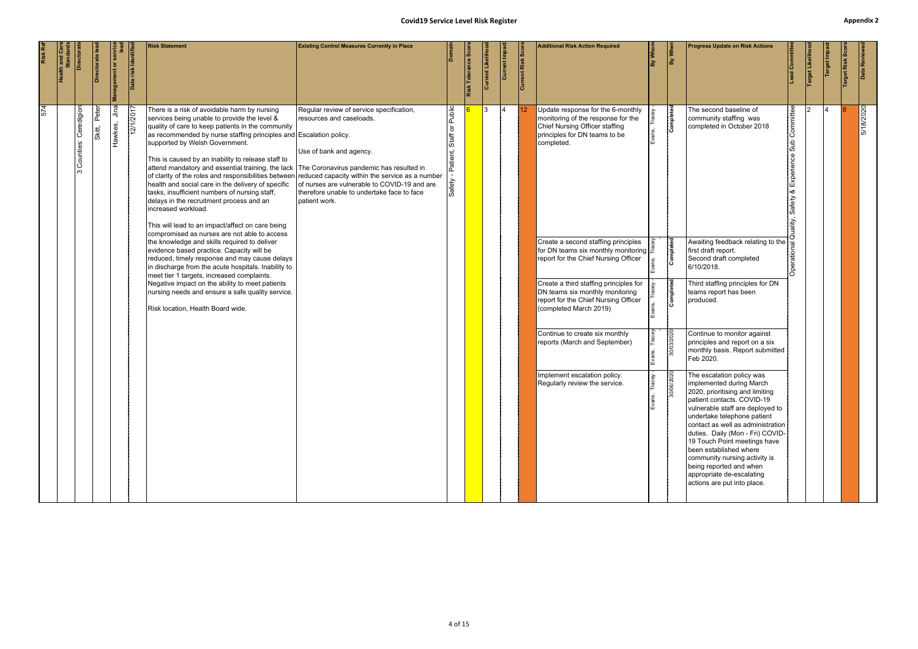| Risk Ref | <b>Health and Care<br/>Standards</b> | Directora                    | Directorate lea | <b>Management or service</b> | risk Identifi<br><b>Bate</b> | <b>Risk Statement</b>                                                                                                                                                                                                                                                                                                                                                                                                                                                                                                                                                                                                                                                                                                                                                                                                                                                                                                                                                                                                                                                                                                                                                                              | <b>Existing Control Measures Currently in Place</b>                                                                                                                                                            |                                                      | <b>Risk Tolerance Sco</b> | Current Likeliho | Current Impact | Current Risk Score | <b>Additional Risk Action Required</b>                                                                                                                                                                                                                                                                                                                                                                                                                                                                                                                                                           | By Whom | By When                                                                | <b>Progress Update on Risk Actions</b>                                                                                                                                                                                                                                                                                                                                                                                                                                                                               | Committe                                   | Target Likelihoo | Target Impa | Risk Sco<br><b>Target</b> | Date Reviewe |
|----------|--------------------------------------|------------------------------|-----------------|------------------------------|------------------------------|----------------------------------------------------------------------------------------------------------------------------------------------------------------------------------------------------------------------------------------------------------------------------------------------------------------------------------------------------------------------------------------------------------------------------------------------------------------------------------------------------------------------------------------------------------------------------------------------------------------------------------------------------------------------------------------------------------------------------------------------------------------------------------------------------------------------------------------------------------------------------------------------------------------------------------------------------------------------------------------------------------------------------------------------------------------------------------------------------------------------------------------------------------------------------------------------------|----------------------------------------------------------------------------------------------------------------------------------------------------------------------------------------------------------------|------------------------------------------------------|---------------------------|------------------|----------------|--------------------|--------------------------------------------------------------------------------------------------------------------------------------------------------------------------------------------------------------------------------------------------------------------------------------------------------------------------------------------------------------------------------------------------------------------------------------------------------------------------------------------------------------------------------------------------------------------------------------------------|---------|------------------------------------------------------------------------|----------------------------------------------------------------------------------------------------------------------------------------------------------------------------------------------------------------------------------------------------------------------------------------------------------------------------------------------------------------------------------------------------------------------------------------------------------------------------------------------------------------------|--------------------------------------------|------------------|-------------|---------------------------|--------------|
| 574      |                                      | Ceredigion<br>Counties:<br>ო | Peter<br>skitt, | Jina<br>Hawkes,              | 12/1/2017                    | There is a risk of avoidable harm by nursing<br>services being unable to provide the level &<br>quality of care to keep patients in the community<br>as recommended by nurse staffing principles and Escalation policy.<br>supported by Welsh Government.<br>This is caused by an inability to release staff to<br>attend mandatory and essential training, the lack The Coronavirus pandemic has resulted in<br>of clarity of the roles and responsibilities between reduced capacity within the service as a number<br>health and social care in the delivery of specific<br>tasks, insufficient numbers of nursing staff,<br>delays in the recruitment process and an<br>increased workload.<br>This will lead to an impact/affect on care being<br>compromised as nurses are not able to access<br>the knowledge and skills required to deliver<br>evidence based practice. Capacity will be<br>reduced, timely response and may cause delays<br>in discharge from the acute hospitals. Inability to<br>meet tier 1 targets, increased complaints.<br>Negative impact on the ability to meet patients<br>nursing needs and ensure a safe quality service.<br>Risk location, Health Board wide. | Regular review of service specification,<br>resources and caseloads.<br>Use of bank and agency.<br>of nurses are vulnerable to COVID-19 and are<br>therefore unable to undertake face to face<br>patient work. | Public<br>$\rm \overleftarrow{o}$<br>Staff<br>Safety |                           | <u>3</u>         | 14             |                    | Update response for the 6-monthly<br>monitoring of the response for the<br>Chief Nursing Officer staffing<br>principles for DN teams to be<br>completed.<br>Create a second staffing principles<br>for DN teams six monthly monitoring $\vert \frac{\alpha}{r} \vert$<br>report for the Chief Nursing Officer<br>Create a third staffing principles for<br>DN teams six monthly monitoring<br>report for the Chief Nursing Officer<br>(completed March 2019)<br>Continue to create six monthly<br>reports (March and September)<br>Implement escalation policy.<br>Regularly review the service. |         | Completed<br>Completed<br>Completed<br>30/03/2020<br>$\frac{1}{30000}$ | The second baseline of<br>community staffing was<br>completed in October 2018<br>Awaiting feedback relating to the $\frac{3}{6}$<br>first draft report.<br>Second draft completed<br>6/10/2018.<br>Third staffing principles for DN<br>teams report has been<br>produced.<br>Continue to monitor against<br>principles and report on a six<br>monthly basis. Report submitted<br>Feb 2020.<br>The escalation policy was<br>implemented during March<br>2020, prioritising and limiting<br>patient contacts. COVID-19 | ommittee<br>perien<br>찣<br>య<br>afety<br>m |                  | 4           |                           | 5/18/2020    |
|          |                                      |                              |                 |                              |                              |                                                                                                                                                                                                                                                                                                                                                                                                                                                                                                                                                                                                                                                                                                                                                                                                                                                                                                                                                                                                                                                                                                                                                                                                    |                                                                                                                                                                                                                |                                                      |                           |                  |                |                    |                                                                                                                                                                                                                                                                                                                                                                                                                                                                                                                                                                                                  | Evans,  |                                                                        | vulnerable staff are deployed to<br>undertake telephone patient<br>contact as well as administration<br>duties. Daily (Mon - Fri) COVID-<br>19 Touch Point meetings have<br>been established where<br>community nursing activity is<br>being reported and when<br>appropriate de-escalating<br>actions are put into place.                                                                                                                                                                                           |                                            |                  |             |                           |              |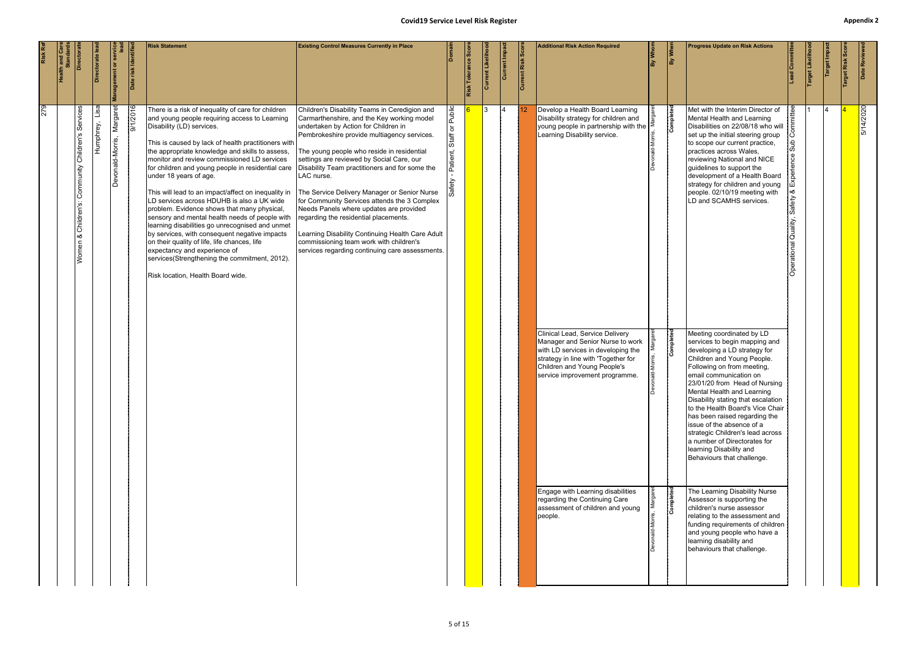|     | <b>Health and Care<br/>Standards</b><br>Directorat                | ectorate |                   | <b>Management or ser</b>     | Date risk Identifie | <b>Risk Statement</b>                                                                                                                                                                                                                                                                                                                                                                                                                                                                                                                                                                                                                                                                                                                                                                                                                                    | <b>Existing Control Measures Currently in Place</b>                                                                                                                                                                                                                                                                                                                                                                                                                                                                                                                                                                                                                                 | Domain                               | Risk Tolerance Sco | Current Likeliho | Current Impa | Current Risk Scor | <b>Additional Risk Action Required</b>                                                                                                                                                                                                                                                                                                                                                                                                                                                          | By Whor | By When                             | <b>Progress Update on Risk Actions</b>                                                                                                                                                                                                                                                                                                                                                                                                                                                                                                                                                                                                                                                                                                                                                                                                                                                                                                                                                                                                                                                                                                                                                            | ead Committee                                   | arget Likelih | Target Impa | Risk Sc | Date Reviewed |
|-----|-------------------------------------------------------------------|----------|-------------------|------------------------------|---------------------|----------------------------------------------------------------------------------------------------------------------------------------------------------------------------------------------------------------------------------------------------------------------------------------------------------------------------------------------------------------------------------------------------------------------------------------------------------------------------------------------------------------------------------------------------------------------------------------------------------------------------------------------------------------------------------------------------------------------------------------------------------------------------------------------------------------------------------------------------------|-------------------------------------------------------------------------------------------------------------------------------------------------------------------------------------------------------------------------------------------------------------------------------------------------------------------------------------------------------------------------------------------------------------------------------------------------------------------------------------------------------------------------------------------------------------------------------------------------------------------------------------------------------------------------------------|--------------------------------------|--------------------|------------------|--------------|-------------------|-------------------------------------------------------------------------------------------------------------------------------------------------------------------------------------------------------------------------------------------------------------------------------------------------------------------------------------------------------------------------------------------------------------------------------------------------------------------------------------------------|---------|-------------------------------------|---------------------------------------------------------------------------------------------------------------------------------------------------------------------------------------------------------------------------------------------------------------------------------------------------------------------------------------------------------------------------------------------------------------------------------------------------------------------------------------------------------------------------------------------------------------------------------------------------------------------------------------------------------------------------------------------------------------------------------------------------------------------------------------------------------------------------------------------------------------------------------------------------------------------------------------------------------------------------------------------------------------------------------------------------------------------------------------------------------------------------------------------------------------------------------------------------|-------------------------------------------------|---------------|-------------|---------|---------------|
| 279 | Services<br>Children's<br>Community<br>Children's:<br>∣∞<br>Women |          | Lisa<br>Humphrey, | Margaret<br>Devonald-Morris, | 9/1/2016            | There is a risk of inequality of care for children<br>and young people requiring access to Learning<br>Disability (LD) services.<br>This is caused by lack of health practitioners with<br>the appropriate knowledge and skills to assess,<br>monitor and review commissioned LD services<br>for children and young people in residential care<br>under 18 years of age.<br>This will lead to an impact/affect on inequality in<br>LD services across HDUHB is also a UK wide<br>problem. Evidence shows that many physical,<br>sensory and mental health needs of people with<br>learning disabilities go unrecognised and unmet<br>by services, with consequent negative impacts<br>on their quality of life, life chances, life<br>expectancy and experience of<br>services(Strengthening the commitment, 2012).<br>Risk location, Health Board wide. | Children's Disability Teams in Ceredigion and<br>Carmarthenshire, and the Key working model<br>undertaken by Action for Children in<br>Pembrokeshire provide multiagency services.<br>The young people who reside in residential<br>settings are reviewed by Social Care, our<br>Disability Team practitioners and for some the<br>LAC nurse.<br>The Service Delivery Manager or Senior Nurse<br>for Community Services attends the 3 Complex<br>Needs Panels where updates are provided<br>regarding the residential placements.<br>Learning Disability Continuing Health Care Adult<br>commissioning team work with children's<br>services regarding continuing care assessments. | - Patient, Staff or Public<br>Safety |                    | <u>3</u>         | 14           |                   | Develop a Health Board Learning<br>Disability strategy for children and<br>young people in partnership with the $\ge$<br>Learning Disability service.<br>Clinical Lead, Service Delivery<br>Manager and Senior Nurse to work<br>with LD services in developing the<br>strategy in line with 'Together for<br>Children and Young People's<br>service improvement programme.<br>Engage with Learning disabilities<br>regarding the Continuing Care<br>assessment of children and young<br>people. |         | Completed<br>Completed<br>Completed | Met with the Interim Director of<br>Mental Health and Learning<br>Disabilities on 22/08/18 who will $\frac{5}{5}$<br>set up the initial steering group<br>to scope our current practice,<br>practices across Wales,<br>reviewing National and NICE<br>guidelines to support the<br>development of a Health Board<br>strategy for children and young<br>people. 02/10/19 meeting with<br>LD and SCAMHS services.<br>Meeting coordinated by LD<br>services to begin mapping and<br>developing a LD strategy for<br>Children and Young People.<br>Following on from meeting,<br>email communication on<br>23/01/20 from Head of Nursing<br>Mental Health and Learning<br>Disability stating that escalation<br>to the Health Board's Vice Chair<br>has been raised regarding the<br>issue of the absence of a<br>strategic Children's lead across<br>a number of Directorates for<br>learning Disability and<br>Behaviours that challenge.<br>The Learning Disability Nurse<br>Assessor is supporting the<br>children's nurse assessor<br>relating to the assessment and<br>funding requirements of children<br>and young people who have a<br>learning disability and<br>behaviours that challenge. | စိ<br>  ంర<br>Safety<br>Quality,<br>Operational |               |             |         | 5/14/2020     |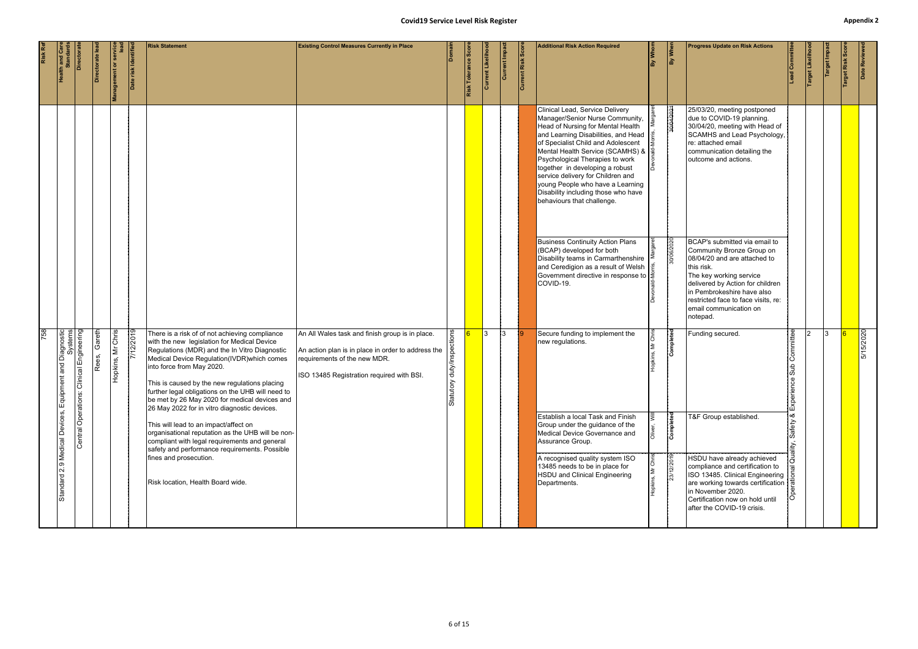|     | <b>Health and Care</b><br>Standards                                                            | Directoral | Directorate lea | <b>Management or service</b> | Date risk Identifie | <b>Risk Statement</b>                                                                                                                                                                                                                                                                                                                                                                                                             | <b>Existing Control Measures Currently in Place</b>                                                                                                                                |                          | Risk Tolerance Sco | Current Likeliho | Current Impact | Current Risk Score | <b>Additional Risk Action Required</b>                                                                                                                                                                                                                                                                                                                                                                                                                     | By Whom | By When    | <b>Progress Update on Risk Actions</b>                                                                                                                                                                                                                                             | $\frac{1}{\text{Committ}}$    | Target Likelihoo | Target Impact | arget Risk Scor | Date Reviewed |
|-----|------------------------------------------------------------------------------------------------|------------|-----------------|------------------------------|---------------------|-----------------------------------------------------------------------------------------------------------------------------------------------------------------------------------------------------------------------------------------------------------------------------------------------------------------------------------------------------------------------------------------------------------------------------------|------------------------------------------------------------------------------------------------------------------------------------------------------------------------------------|--------------------------|--------------------|------------------|----------------|--------------------|------------------------------------------------------------------------------------------------------------------------------------------------------------------------------------------------------------------------------------------------------------------------------------------------------------------------------------------------------------------------------------------------------------------------------------------------------------|---------|------------|------------------------------------------------------------------------------------------------------------------------------------------------------------------------------------------------------------------------------------------------------------------------------------|-------------------------------|------------------|---------------|-----------------|---------------|
|     |                                                                                                |            |                 |                              |                     |                                                                                                                                                                                                                                                                                                                                                                                                                                   |                                                                                                                                                                                    |                          |                    |                  |                |                    | Clinical Lead, Service Delivery<br>Manager/Senior Nurse Community,<br>Head of Nursing for Mental Health<br>and Learning Disabilities, and Head<br>of Specialist Child and Adolescent<br>Mental Health Service (SCAMHS) & $\frac{1}{6}$<br>Psychological Therapies to work<br>together in developing a robust<br>service delivery for Children and<br>young People who have a Learning<br>Disability including those who have<br>behaviours that challenge. |         | 30/04/202  | 25/03/20, meeting postponed<br>due to COVID-19 planning.<br>30/04/20, meeting with Head of<br>SCAMHS and Lead Psychology,<br>re: attached email<br>communication detailing the<br>outcome and actions.                                                                             |                               |                  |               |                 |               |
|     |                                                                                                |            |                 |                              |                     |                                                                                                                                                                                                                                                                                                                                                                                                                                   |                                                                                                                                                                                    |                          |                    |                  |                |                    | <b>Business Continuity Action Plans</b><br>(BCAP) developed for both<br>Disability teams in Carmarthenshire<br>and Ceredigion as a result of Welsh<br>Government directive in response to $\frac{3}{5}$<br>COVID-19.                                                                                                                                                                                                                                       |         | 30/06/2020 | BCAP's submitted via email to<br>Community Bronze Group on<br>08/04/20 and are attached to<br>this risk.<br>The key working service<br>delivered by Action for children<br>in Pembrokeshire have also<br>restricted face to face visits, re:<br>email communication on<br>notepad. |                               |                  |               |                 |               |
| 758 | lical Devices, Equipment and Diagnostic<br>Systems<br>Central Operations: Clinical Engineering |            | Gareth<br>Rees, | Mr Chris<br>Hopkins,         | 7/12/2019           | There is a risk of of not achieving compliance<br>with the new legislation for Medical Device<br>Regulations (MDR) and the In Vitro Diagnostic<br>Medical Device Regulation(IVDR) which comes<br>into force from May 2020.<br>This is caused by the new regulations placing<br>further legal obligations on the UHB will need to<br>be met by 26 May 2020 for medical devices and<br>26 May 2022 for in vitro diagnostic devices. | An All Wales task and finish group is in place.<br>An action plan is in place in order to address the<br>requirements of the new MDR.<br>ISO 13485 Registration required with BSI. | duty/ins<br>≥<br>Statuto |                    | $\vert$ 3        | 13.            |                    | Secure funding to implement the<br>new regulations.                                                                                                                                                                                                                                                                                                                                                                                                        |         | Completed  | Funding secured.                                                                                                                                                                                                                                                                   | ommittee<br>$\overline{\Phi}$ | $\Omega$         | 13            |                 | 5/15/2020     |
|     |                                                                                                |            |                 |                              |                     | This will lead to an impact/affect on<br>organisational reputation as the UHB will be non-<br>compliant with legal requirements and general<br>safety and performance requirements. Possible                                                                                                                                                                                                                                      |                                                                                                                                                                                    |                          |                    |                  |                |                    | Establish a local Task and Finish<br>Group under the guidance of the<br>Medical Device Governance and<br>Assurance Group.                                                                                                                                                                                                                                                                                                                                  |         | Complet    | T&F Group established.                                                                                                                                                                                                                                                             |                               |                  |               |                 |               |
|     | Standard 2.9 Medical Devices,                                                                  |            |                 |                              |                     | fines and prosecution.<br>Risk location, Health Board wide.                                                                                                                                                                                                                                                                                                                                                                       |                                                                                                                                                                                    |                          |                    |                  |                |                    | A recognised quality system ISO<br>13485 needs to be in place for<br>HSDU and Clinical Engineering<br>Departments.                                                                                                                                                                                                                                                                                                                                         |         | 23/12/2019 | HSDU have already achieved<br>compliance and certification to<br>ISO 13485. Clinical Engineering<br>are working towards certification   $\frac{1}{10}$<br>in November 2020.<br>Certification now on hold until<br>after the COVID-19 crisis.                                       |                               |                  |               |                 |               |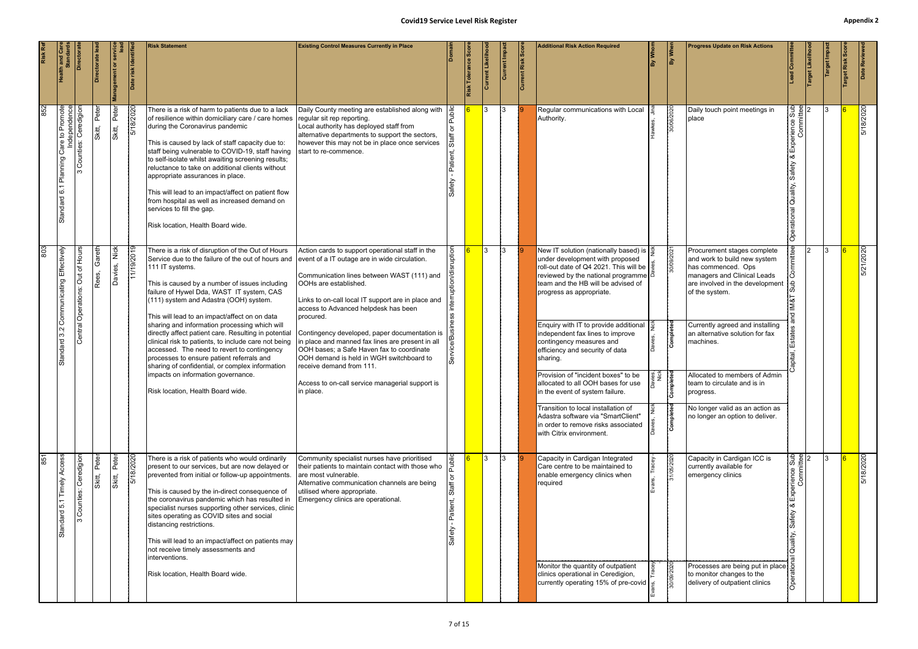|     | <b>Health and Care<br/>Standards</b>                                                    | Directora                                       | ectorate le     | <b>Management or servic</b> | risk Identifi  | <b>Risk Statement</b>                                                                                                                                                                                                                                                                                                                                                                                                                                                                                                                                                    | <b>Existing Control Measures Currently in Place</b>                                                                                                                                                                                                    |       | Risk Tolerance | ent Likelih<br>lā | Current Impa | Current Risk Scor | <b>Additional Risk Action Required</b>                                                                                                                                                                                                                         | By Whon      | By When             | <b>Progress Update on Risk Actions</b>                                                                                                                                |                               | Target Likeliho | arget Imp | Date Reviewe |
|-----|-----------------------------------------------------------------------------------------|-------------------------------------------------|-----------------|-----------------------------|----------------|--------------------------------------------------------------------------------------------------------------------------------------------------------------------------------------------------------------------------------------------------------------------------------------------------------------------------------------------------------------------------------------------------------------------------------------------------------------------------------------------------------------------------------------------------------------------------|--------------------------------------------------------------------------------------------------------------------------------------------------------------------------------------------------------------------------------------------------------|-------|----------------|-------------------|--------------|-------------------|----------------------------------------------------------------------------------------------------------------------------------------------------------------------------------------------------------------------------------------------------------------|--------------|---------------------|-----------------------------------------------------------------------------------------------------------------------------------------------------------------------|-------------------------------|-----------------|-----------|--------------|
| 852 | T Planning Care to Promote<br>Independence<br>3 Counties: Ceredigion<br>6.1<br>Standard |                                                 | Peter<br>Skitt, | Peter<br>Skitt,             | 5/18/2020      | There is a risk of harm to patients due to a lack<br>of resilience within domiciliary care / care homes<br>during the Coronavirus pandemic<br>This is caused by lack of staff capacity due to:<br>staff being vulnerable to COVID-19, staff having<br>to self-isolate whilst awaiting screening results;<br>reluctance to take on additional clients without<br>appropriate assurances in place.<br>This will lead to an impact/affect on patient flow<br>from hospital as well as increased demand on<br>services to fill the gap.<br>Risk location, Health Board wide. | Daily County meeting are established along with<br>regular sit rep reporting.<br>Local authority has deployed staff from<br>alternative departments to support the sectors,<br>however this may not be in place once services<br>start to re-commence. |       |                | 3                 | 13.          |                   | Regular communications with Local<br>Authority.                                                                                                                                                                                                                |              | 30/06/2020          | Daily touch point meetings in<br>place                                                                                                                                | srience Sub<br>Committee<br>P |                 | 3         | 5/18/2020    |
| 803 | Effectively<br>Communicating                                                            | $\frac{1}{10}$<br>৳<br>ă<br>Central Operations: | Gareth<br>Rees, | ič<br>Z<br>Davies,          | 1/19/2019      | There is a risk of disruption of the Out of Hours<br>Service due to the failure of the out of hours and $ $ event of a IT outage are in wide circulation.<br>111 IT systems.<br>This is caused by a number of issues including<br>failure of Hywel Dda, WAST IT system, CAS<br>(111) system and Adastra (OOH) system.<br>This will lead to an impact/affect on on data                                                                                                                                                                                                   | Action cards to support operational staff in the<br>Communication lines between WAST (111) and<br>OOHs are established.<br>Links to on-call local IT support are in place and<br>access to Advanced helpdesk has been<br>procured.                     |       |                | l3                | 13.          |                   | New IT solution (nationally based) is $\frac{3}{2}$<br>under development with proposed<br>roll-out date of Q4 2021. This will be $\frac{3}{5}$<br>reviewed by the national programme $\beta$<br>team and the HB will be advised of<br>progress as appropriate. |              | 30/09/2021          | Procurement stages complete<br>and work to build new system<br>has commenced. Ops<br>managers and Clinical Leads<br>are involved in the development<br>of the system. |                               | 12              | l3.       | 5/21/2020    |
|     | $\sim$<br>က<br>Standard                                                                 |                                                 |                 |                             |                | sharing and information processing which will<br>directly affect patient care. Resulting in potential<br>clinical risk to patients, to include care not being<br>accessed. The need to revert to contingency<br>processes to ensure patient referrals and<br>sharing of confidential, or complex information                                                                                                                                                                                                                                                             | Contingency developed, paper documentation is<br>in place and manned fax lines are present in all<br>OOH bases; a Safe Haven fax to coordinate<br>OOH demand is held in WGH switchboard to<br>Ireceive demand from 111.                                |       |                |                   |              |                   | Enquiry with IT to provide additional<br>independent fax lines to improve<br>contingency measures and<br>efficiency and security of data<br>sharing.                                                                                                           |              | ompleted<br>ت       | Currently agreed and installing<br>an alternative solution for fax<br>machines.                                                                                       |                               |                 |           |              |
|     |                                                                                         |                                                 |                 |                             |                | impacts on information governance.<br>Risk location, Health Board wide.                                                                                                                                                                                                                                                                                                                                                                                                                                                                                                  | Access to on-call service managerial support is<br>in place.                                                                                                                                                                                           |       |                |                   |              |                   | Provision of "incident boxes" to be<br>allocated to all OOH bases for use<br>in the event of system failure.<br>Transition to local installation of                                                                                                            | ves,<br>Nick | lete<br><b>Comp</b> | Allocated to members of Admin<br>team to circulate and is in<br>progress.<br>No longer valid as an action as                                                          |                               |                 |           |              |
|     |                                                                                         |                                                 |                 |                             |                |                                                                                                                                                                                                                                                                                                                                                                                                                                                                                                                                                                          |                                                                                                                                                                                                                                                        |       |                |                   |              |                   | Adastra software via "SmartClient"<br>in order to remove risks associated<br>with Citrix environment.                                                                                                                                                          |              | ompleted<br>ت ا     | no longer an option to deliver.                                                                                                                                       |                               |                 |           |              |
| 851 | ड़<br>Timely<br>5.1<br>Standard                                                         | Ceredigion<br>Counties:                         | Peter<br>Skitt, | Peter<br>Skitt,             | 18/2020<br>। ত | There is a risk of patients who would ordinarily<br>present to our services, but are now delayed or<br>prevented from initial or follow-up appointments.<br>This is caused by the in-direct consequence of<br>the coronavirus pandemic which has resulted in<br>specialist nurses supporting other services, clinic<br>sites operating as COVID sites and social<br>distancing restrictions.<br>This will lead to an impact/affect on patients may<br>not receive timely assessments and<br>interventions.                                                               | Community specialist nurses have prioritised<br>their patients to maintain contact with those who<br>lare most vulnerable.<br>Alternative communication channels are being<br>utilised where appropriate.<br>Emergency clinics are operational.        | Staff | $\sqrt{6}$     | <u>3</u>          | $\vert$ 3    |                   | Capacity in Cardigan Integrated<br>Care centre to be maintained to<br>enable emergency clinics when<br>required                                                                                                                                                |              | 31/05/202           | Capacity in Cardigan ICC is<br>currently available for<br>emergency clinics                                                                                           | Prience Sub<br>Committee      |                 | 13.       | 5/18/2020    |
|     |                                                                                         |                                                 |                 |                             |                | Risk location, Health Board wide.                                                                                                                                                                                                                                                                                                                                                                                                                                                                                                                                        |                                                                                                                                                                                                                                                        |       |                |                   |              |                   | Monitor the quantity of outpatient<br>clinics operational in Ceredigion,<br>currently operating 15% of pre-covid                                                                                                                                               |              | 30/09/2020          | Processes are being put in place $\frac{1}{2}$<br>to monitor changes to the<br>delivery of outpatient clinics                                                         |                               |                 |           |              |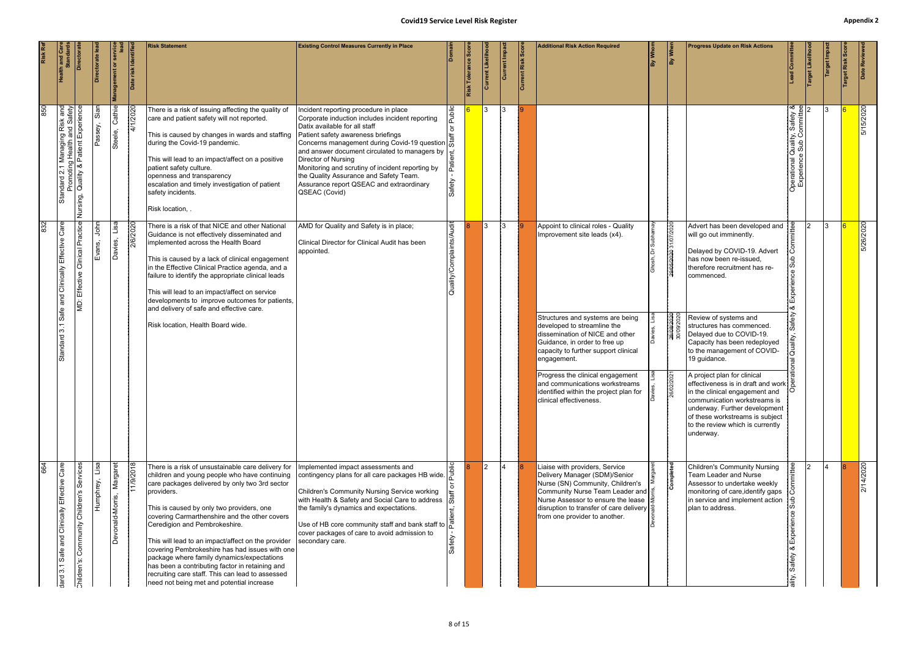|     | <b>Health and Care</b><br>Standards                                                                    | Directora                                       | Directorate lea   | <b>Management or service</b> | risk Identifi<br><b>B</b> | <b>Risk Statement</b>                                                                                                                                                                                                                                                                                                                                                                                                                                                                                                                                                                                        | <b>Existing Control Measures Currently in Place</b>                                                                                                                                                                                                                                                                                                                                                                                                                                      |                          | <b>Risk Tolerance Sco</b> |                | Current Impact  | Current Risk Score | <b>Additional Risk Action Required</b>                                                                                                                                                                                                                                                                                                                                                                       | By Whom | By When                               | <b>Progress Update on Risk Actions</b>                                                                                                                                                                                                                                                                                                                                                                                                                                                                                                                                                         | ခြ                                                        | Target Likeliho | Target Impa | arget Risk Scor | Date Reviewed |
|-----|--------------------------------------------------------------------------------------------------------|-------------------------------------------------|-------------------|------------------------------|---------------------------|--------------------------------------------------------------------------------------------------------------------------------------------------------------------------------------------------------------------------------------------------------------------------------------------------------------------------------------------------------------------------------------------------------------------------------------------------------------------------------------------------------------------------------------------------------------------------------------------------------------|------------------------------------------------------------------------------------------------------------------------------------------------------------------------------------------------------------------------------------------------------------------------------------------------------------------------------------------------------------------------------------------------------------------------------------------------------------------------------------------|--------------------------|---------------------------|----------------|-----------------|--------------------|--------------------------------------------------------------------------------------------------------------------------------------------------------------------------------------------------------------------------------------------------------------------------------------------------------------------------------------------------------------------------------------------------------------|---------|---------------------------------------|------------------------------------------------------------------------------------------------------------------------------------------------------------------------------------------------------------------------------------------------------------------------------------------------------------------------------------------------------------------------------------------------------------------------------------------------------------------------------------------------------------------------------------------------------------------------------------------------|-----------------------------------------------------------|-----------------|-------------|-----------------|---------------|
| 850 | Standard 2.1 Managing Risk and<br>Promoting Health and Safety<br>Nursing, Quality & Patient Experience |                                                 | Sian<br>Passey,   | Cathie<br>Steele,            | 4/1/2020                  | There is a risk of issuing affecting the quality of<br>care and patient safety will not reported.<br>This is caused by changes in wards and staffing<br>during the Covid-19 pandemic.<br>This will lead to an impact/affect on a positive<br>patient safety culture.<br>openness and transparency<br>escalation and timely investigation of patient<br>safety incidents.<br>Risk location, .                                                                                                                                                                                                                 | Incident reporting procedure in place<br>Corporate induction includes incident reporting<br>Datix available for all staff<br>Patient safety awareness briefings<br>Patient safety awareness briefings<br>Concerns management during Covid-19 question<br>and answer document circulated to managers by<br>Director of Nursing<br>Monitoring and scrutiny of incident reporting by<br>the Quality Assurance and Safety Team.<br>Assurance report QSEAC and extraordinary<br>QSEAC (Covid) | Safety                   |                           | $\mathcal{S}$  | 13              |                    |                                                                                                                                                                                                                                                                                                                                                                                                              |         |                                       |                                                                                                                                                                                                                                                                                                                                                                                                                                                                                                                                                                                                | Operational Quality, Safety &<br>Experience Sub Committee |                 | I٩          |                 | 5/15/2020     |
| 832 | Care<br>Safe and Clinically Effective<br>3.1<br>Standard                                               | Effective Clinical Practice<br>Й.<br>В          | John<br>Evans,    | Lisa<br>Davies,              | 2/6/2020                  | There is a risk of that NICE and other National<br>Guidance is not effectively disseminated and<br>implemented across the Health Board<br>This is caused by a lack of clinical engagement<br>in the Effective Clinical Practice agenda, and a<br>failure to identify the appropriate clinical leads<br>This will lead to an impact/affect on service<br>developments to improve outcomes for patients,<br>and delivery of safe and effective care.<br>Risk location, Health Board wide.                                                                                                                      | AMD for Quality and Safety is in place;<br>Clinical Director for Clinical Audit has been<br>appointed.                                                                                                                                                                                                                                                                                                                                                                                   | Quality/Complaints/Audit |                           | 3              | 13              |                    | Appoint to clinical roles - Quality<br>Improvement site leads (x4).<br>Structures and systems are being<br>developed to streamline the<br>dissemination of NICE and other<br>Guidance, in order to free up<br>capacity to further support clinical<br>engagement.<br>Progress the clinical engagement<br>and communications workstreams<br>identified within the project plan for<br>clinical effectiveness. |         | 29/05/2020 31/07/2020<br>2021<br>26/0 | Advert has been developed and<br>will go out imminently.<br>Delayed by COVID-19. Advert<br>has now been re-issued,<br>therefore recruitment has re-<br>commenced.<br>Review of systems and<br>structures has commenced.<br>Delayed due to COVID-19.<br>Capacity has been redeployed<br>to the management of COVID-<br>19 guidance.<br>A project plan for clinical<br>effectiveness is in draft and work<br>in the clinical engagement and<br>communication workstreams is<br>underway. Further development<br>of these workstreams is subject<br>to the review which is currently<br>underway. | afety                                                     | $\mathcal{D}$   | ١R          |                 | 5/26/2020     |
| 664 | Safe and Clinically Effective Care<br>$\frac{1}{2}$ and 3.1                                            | Services<br>Community Children's<br>Children's: | Lisa<br>Humphrey, | Margaret<br>Devonald-Morris, | 11/9/2018                 | There is a risk of unsustainable care delivery for<br>children and young people who have continuing<br>care packages delivered by only two 3rd sector<br>providers.<br>This is caused by only two providers, one<br>covering Carmarthenshire and the other covers<br>Ceredigion and Pembrokeshire.<br>This will lead to an impact/affect on the provider<br>covering Pembrokeshire has had issues with one<br>package where family dynamics/expectations<br>has been a contributing factor in retaining and<br>recruiting care staff. This can lead to assessed<br>need not being met and potential increase | Implemented impact assessments and<br>contingency plans for all care packages HB wide.<br>Children's Community Nursing Service working<br>with Health & Safety and Social Care to address<br>the family's dynamics and expectations.<br>Use of HB core community staff and bank staff to $\int_{0}^{\overline{\omega}}$<br>cover packages of care to avoid admission to<br>secondary care.                                                                                               |                          |                           | $\overline{2}$ | $\vert 4 \vert$ |                    | Liaise with providers, Service<br>Delivery Manager (SDM)/Senior<br>Nurse (SN) Community, Children's<br>Community Nurse Team Leader and $\frac{3}{5}$<br>Nurse Assessor to ensure the lease $\frac{1}{2}$<br>disruption to transfer of care delivery<br>from one provider to another.                                                                                                                         |         | Completed                             | <b>Children's Community Nursing</b><br>Team Leader and Nurse<br>Assessor to undertake weekly<br>monitoring of care, identify gaps<br>in service and implement action<br>plan to address.                                                                                                                                                                                                                                                                                                                                                                                                       | Experie<br>l∝o<br>Safety<br>İτ,                           |                 |             |                 | 2/14/2020     |
|     |                                                                                                        |                                                 |                   |                              |                           |                                                                                                                                                                                                                                                                                                                                                                                                                                                                                                                                                                                                              |                                                                                                                                                                                                                                                                                                                                                                                                                                                                                          | 8 of 15                  |                           |                |                 |                    |                                                                                                                                                                                                                                                                                                                                                                                                              |         |                                       |                                                                                                                                                                                                                                                                                                                                                                                                                                                                                                                                                                                                |                                                           |                 |             |                 |               |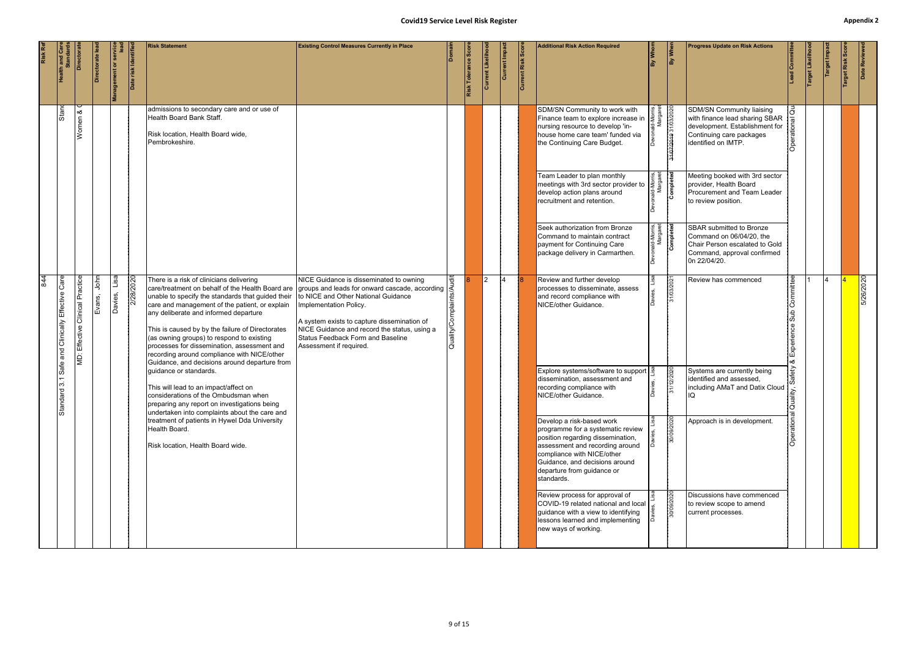#### **Covid19** Service Level Risk Register **Accord Bullet Accord Accord Accord Accord Accord Accord Accord Accord Accord Accord Accord Accord Accord Accord Accord Accord Accord Accord Accord Accord Accord Accord Accord Accord A** the family's dynamics and expectations.

|                                                                             |                |                                              |                     |                                                                                                                                                                                                                                                                                                                                                                                                                                                                                              | <b>Covid19 Service Level Risk Register</b>                                                                                                                                                                                                                                                                                       |                                             |                    |                   |                |                   |                                                                                                                                                                                                                                                    |                                                      |            |                                                                                                                                                  |                                                     |                  |             | <b>Appendix</b> |              |
|-----------------------------------------------------------------------------|----------------|----------------------------------------------|---------------------|----------------------------------------------------------------------------------------------------------------------------------------------------------------------------------------------------------------------------------------------------------------------------------------------------------------------------------------------------------------------------------------------------------------------------------------------------------------------------------------------|----------------------------------------------------------------------------------------------------------------------------------------------------------------------------------------------------------------------------------------------------------------------------------------------------------------------------------|---------------------------------------------|--------------------|-------------------|----------------|-------------------|----------------------------------------------------------------------------------------------------------------------------------------------------------------------------------------------------------------------------------------------------|------------------------------------------------------|------------|--------------------------------------------------------------------------------------------------------------------------------------------------|-----------------------------------------------------|------------------|-------------|-----------------|--------------|
| Directoral                                                                  | irectorate lea | Management or servic<br>Management or servic | Date risk Identifie | <b>Risk Statement</b>                                                                                                                                                                                                                                                                                                                                                                                                                                                                        | <b>Existing Control Measures Currently in Place</b>                                                                                                                                                                                                                                                                              |                                             | Risk Tolerance Sco | Current Likelihoo | Current Impa   | Current Risk Scor | <b>Additional Risk Action Required</b>                                                                                                                                                                                                             | By Whon                                              | By When    | <b>Progress Update on Risk Actions</b>                                                                                                           | Lead Committe                                       | Target Likelihoo | Target Impa | Target Risk Sc  | Date Reviewe |
| ∣∝ర<br>Women                                                                |                |                                              |                     | admissions to secondary care and or use of<br>Health Board Bank Staff.<br>Risk location, Health Board wide,<br>Pembrokeshire.                                                                                                                                                                                                                                                                                                                                                                |                                                                                                                                                                                                                                                                                                                                  |                                             |                    |                   |                |                   | SDM/SN Community to work with<br>Finance team to explore increase in<br>nursing resource to develop 'in-<br>house home care team' funded via<br>the Continuing Care Budget.                                                                        | Devonald-Morris,<br>Margaret<br>3107/2019 31/03/2020 |            | SDM/SN Community liaising<br>with finance lead sharing SBAR<br>development. Establishment for<br>Continuing care packages<br>identified on IMTP. | ۱ã<br>atio                                          |                  |             |                 |              |
|                                                                             |                |                                              |                     |                                                                                                                                                                                                                                                                                                                                                                                                                                                                                              |                                                                                                                                                                                                                                                                                                                                  |                                             |                    |                   |                |                   | Team Leader to plan monthly<br>meetings with 3rd sector provider to<br>develop action plans around<br>recruitment and retention.                                                                                                                   | nald-Morris,<br>Margaret<br><b>Completed</b>         |            | Meeting booked with 3rd sector<br>provider, Health Board<br>Procurement and Team Leader<br>to review position.                                   |                                                     |                  |             |                 |              |
|                                                                             |                |                                              |                     |                                                                                                                                                                                                                                                                                                                                                                                                                                                                                              |                                                                                                                                                                                                                                                                                                                                  |                                             |                    |                   |                |                   | Seek authorization from Bronze<br>Command to maintain contract<br>payment for Continuing Care<br>package delivery in Carmarthen.                                                                                                                   | nald-Morris,<br>Margaret<br><b>Completed</b>         |            | SBAR submitted to Bronze<br>Command on 06/04/20, the<br>Chair Person escalated to Gold<br>Command, approval confirmed<br>0n 22/04/20.            |                                                     |                  |             |                 |              |
| <b>MD: Effective Clinical Practice</b><br>John<br>Lisa<br>Davies,<br>Evans, |                |                                              | 2/28/2020           | There is a risk of clinicians delivering<br>care/treatment on behalf of the Health Board are<br>unable to specify the standards that guided their<br>care and management of the patient, or explain<br>any deliberate and informed departure<br>This is caused by by the failure of Directorates<br>(as owning groups) to respond to existing<br>processes for dissemination, assessment and<br>recording around compliance with NICE/other<br>Guidance, and decisions around departure from | NICE Guidance is disseminated to owning<br>groups and leads for onward cascade, according<br>to NICE and Other National Guidance<br>Implementation Policy.<br>A system exists to capture dissemination of<br>NICE Guidance and record the status, using a<br><b>Status Feedback Form and Baseline</b><br>Assessment if required. | ġ<br>mplaints<br>$\mathfrak{c}$<br>Quality/ |                    | 2.                | $\overline{4}$ |                   | Review and further develop<br>processes to disseminate, assess<br>and record compliance with<br>NICE/other Guidance.                                                                                                                               |                                                      | 31/03/2021 | Review has commenced                                                                                                                             | ommittee<br>ΙŌ<br>$\frac{1}{\sqrt{2}}$<br>Experienc |                  | 14          |                 | 5/26/2020    |
|                                                                             |                |                                              |                     | guidance or standards.<br>This will lead to an impact/affect on<br>considerations of the Ombudsman when<br>preparing any report on investigations being<br>undertaken into complaints about the care and                                                                                                                                                                                                                                                                                     |                                                                                                                                                                                                                                                                                                                                  |                                             |                    |                   |                |                   | Explore systems/software to support   a<br>dissemination, assessment and<br>recording compliance with<br>NICE/other Guidance.                                                                                                                      |                                                      | 31/12/2020 | Systems are currently being<br>identified and assessed,<br>including AMaT and Datix Cloud                                                        | $\overline{Qual}$                                   |                  |             |                 |              |
|                                                                             |                |                                              |                     | treatment of patients in Hywel Dda University<br>Health Board.<br>Risk location, Health Board wide.                                                                                                                                                                                                                                                                                                                                                                                          |                                                                                                                                                                                                                                                                                                                                  |                                             |                    |                   |                |                   | Develop a risk-based work<br>programme for a systematic review<br>position regarding dissemination,<br>assessment and recording around<br>compliance with NICE/other<br>Guidance, and decisions around<br>departure from guidance or<br>standards. |                                                      | 30/09/2020 | Approach is in development.                                                                                                                      |                                                     |                  |             |                 |              |
|                                                                             |                |                                              |                     |                                                                                                                                                                                                                                                                                                                                                                                                                                                                                              |                                                                                                                                                                                                                                                                                                                                  |                                             |                    |                   |                |                   | Review process for approval of<br>COVID-19 related national and local<br>guidance with a view to identifying<br>lessons learned and implementing<br>new ways of working.                                                                           |                                                      | 30/09/2020 | Discussions have commenced<br>to review scope to amend<br>current processes.                                                                     |                                                     |                  |             |                 |              |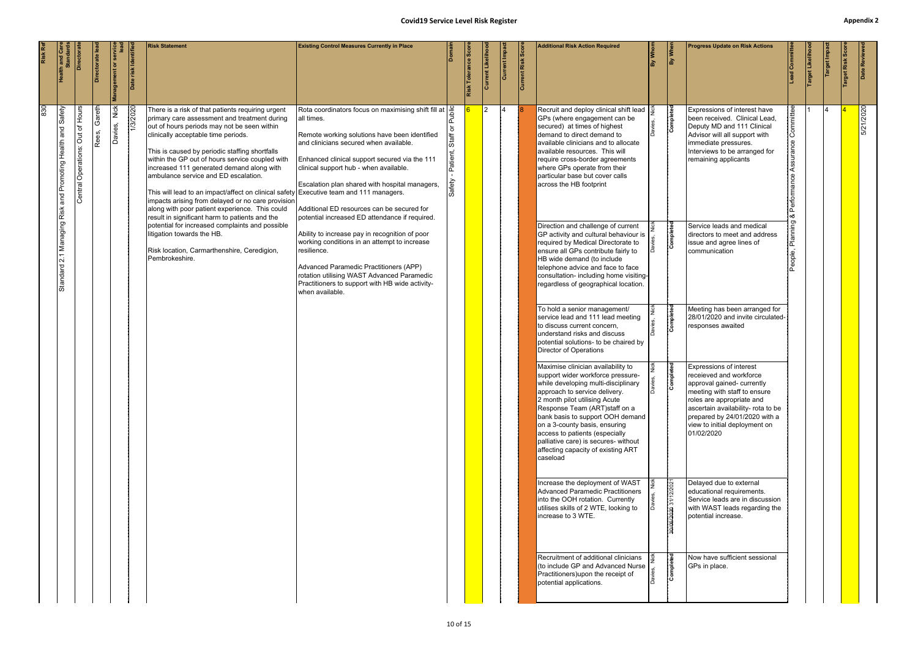| <b>Health and Care<br/>Standards</b>              | Directorat                                 | <b>Directorate</b> | <b>Management or ser</b> | Date risk Identifie | <b>Risk Statement</b>                                                                                                                                                                                                                                                                                                                                                                                                                                                                                                                                                                                                                | <b>Existing Control Measures Currently in Place</b>                                                                                                                                                                                                                                                                                                                                                                                                |                                    | Risk Tolerance Sco | Current Likelih | Current Imp | Current Risk Sco | <b>Additional Risk Action Required</b>                                                                                                                                                                                                                                                                                                                                                                              |           | By When               | <b>Progress Update on Risk Actions</b>                                                                                                                                                                                                                                     | ead Committee                       | arget Likelih | Target Impa | Date Reviewe |
|---------------------------------------------------|--------------------------------------------|--------------------|--------------------------|---------------------|--------------------------------------------------------------------------------------------------------------------------------------------------------------------------------------------------------------------------------------------------------------------------------------------------------------------------------------------------------------------------------------------------------------------------------------------------------------------------------------------------------------------------------------------------------------------------------------------------------------------------------------|----------------------------------------------------------------------------------------------------------------------------------------------------------------------------------------------------------------------------------------------------------------------------------------------------------------------------------------------------------------------------------------------------------------------------------------------------|------------------------------------|--------------------|-----------------|-------------|------------------|---------------------------------------------------------------------------------------------------------------------------------------------------------------------------------------------------------------------------------------------------------------------------------------------------------------------------------------------------------------------------------------------------------------------|-----------|-----------------------|----------------------------------------------------------------------------------------------------------------------------------------------------------------------------------------------------------------------------------------------------------------------------|-------------------------------------|---------------|-------------|--------------|
| 2.1 Managing Risk and Promoting Health and Safety | Out of Hours<br><b>Central Operations:</b> | Gareth<br>Rees,    | Nick<br>Davies,          | 1/3/2020            | There is a risk of that patients requiring urgent<br>primary care assessment and treatment during<br>out of hours periods may not be seen within<br>clinically acceptable time periods.<br>This is caused by periodic staffing shortfalls<br>within the GP out of hours service coupled with<br>increased 111 generated demand along with<br>ambulance service and ED escalation.<br>This will lead to an impact/affect on clinical safety Executive team and 111 managers.<br>impacts arising from delayed or no care provision<br>along with poor patient experience. This could<br>result in significant harm to patients and the | Rota coordinators focus on maximising shift fill at $\left \frac{\text{Q}}{\text{D}}\right $<br>all times.<br>Remote working solutions have been identified<br>and clinicians secured when available.<br>Enhanced clinical support secured via the 111<br>clinical support hub - when available.<br>Escalation plan shared with hospital managers,<br>Additional ED resources can be secured for<br>potential increased ED attendance if required. | <b>Staff</b><br>Patient,<br>Safety |                    | $\overline{2}$  |             |                  | Recruit and deploy clinical shift lead<br>GPs (where engagement can be<br>secured) at times of highest<br>demand to direct demand to<br>available clinicians and to allocate<br>available resources. This will<br>require cross-border agreements<br>where GPs operate from their<br>particular base but cover calls<br>across the HB footprint                                                                     |           | Completed             | Expressions of interest have<br>been received. Clinical Lead,<br>Deputy MD and 111 Clinical<br>Advisor will all support with<br>immediate pressures.<br>Interviews to be arranged for<br>remaining applicants                                                              | Committee<br>Assurance<br>Performan |               |             | 5/21/2020    |
| Standard                                          |                                            |                    |                          |                     | potential for increased complaints and possible<br>litigation towards the HB.<br>Risk location, Carmarthenshire, Ceredigion,<br>Pembrokeshire.                                                                                                                                                                                                                                                                                                                                                                                                                                                                                       | Ability to increase pay in recognition of poor<br>working conditions in an attempt to increase<br>resilience.<br>Advanced Paramedic Practitioners (APP)<br>rotation utilising WAST Advanced Paramedic<br>Practitioners to support with HB wide activity-<br>when available.                                                                                                                                                                        |                                    |                    |                 |             |                  | Direction and challenge of current<br>GP activity and cultural behaviour is<br>required by Medical Directorate to<br>ensure all GPs contribute fairly to<br>HB wide demand (to include<br>telephone advice and face to face<br>consultation- including home visiting-<br>regardless of geographical location.                                                                                                       |           | Completed             | Service leads and medical<br>directors to meet and address<br>issue and agree lines of<br>communication                                                                                                                                                                    | Planning                            |               |             |              |
|                                                   |                                            |                    |                          |                     |                                                                                                                                                                                                                                                                                                                                                                                                                                                                                                                                                                                                                                      |                                                                                                                                                                                                                                                                                                                                                                                                                                                    |                                    |                    |                 |             |                  | To hold a senior management/<br>service lead and 111 lead meeting<br>to discuss current concern,<br>understand risks and discuss<br>potential solutions- to be chaired by<br>Director of Operations                                                                                                                                                                                                                 |           | Completed             | Meeting has been arranged for<br>28/01/2020 and invite circulated-<br>responses awaited                                                                                                                                                                                    |                                     |               |             |              |
|                                                   |                                            |                    |                          |                     |                                                                                                                                                                                                                                                                                                                                                                                                                                                                                                                                                                                                                                      |                                                                                                                                                                                                                                                                                                                                                                                                                                                    |                                    |                    |                 |             |                  | Maximise clinician availability to<br>support wider workforce pressure-<br>while developing multi-disciplinary<br>approach to service delivery.<br>2 month pilot utilising Acute<br>Response Team (ART) staff on a<br>bank basis to support OOH demand<br>on a 3-county basis, ensuring<br>access to patients (especially<br>palliative care) is secures- without<br>affecting capacity of existing ART<br>caseload | la∂<br>Da | ompleted              | <b>Expressions of interest</b><br>receieved and workforce<br>approval gained- currently<br>meeting with staff to ensure<br>roles are appropriate and<br>ascertain availability- rota to be<br>prepared by 24/01/2020 with a<br>view to initial deployment on<br>01/02/2020 |                                     |               |             |              |
|                                                   |                                            |                    |                          |                     |                                                                                                                                                                                                                                                                                                                                                                                                                                                                                                                                                                                                                                      |                                                                                                                                                                                                                                                                                                                                                                                                                                                    |                                    |                    |                 |             |                  | Increase the deployment of WAST<br>Advanced Paramedic Practitioners<br>into the OOH rotation. Currently<br>utilises skills of 2 WTE, looking to<br>increase to 3 WTE.                                                                                                                                                                                                                                               |           | 30/06/2020 31/12/2021 | Delayed due to external<br>educational requirements.<br>Service leads are in discussion<br>with WAST leads regarding the<br>potential increase.                                                                                                                            |                                     |               |             |              |
|                                                   |                                            |                    |                          |                     |                                                                                                                                                                                                                                                                                                                                                                                                                                                                                                                                                                                                                                      |                                                                                                                                                                                                                                                                                                                                                                                                                                                    |                                    |                    |                 |             |                  | Recruitment of additional clinicians<br>(to include GP and Advanced Nurse<br>Practitioners) upon the receipt of<br>potential applications.                                                                                                                                                                                                                                                                          |           | Completed             | Now have sufficient sessional<br>GPs in place.                                                                                                                                                                                                                             |                                     |               |             |              |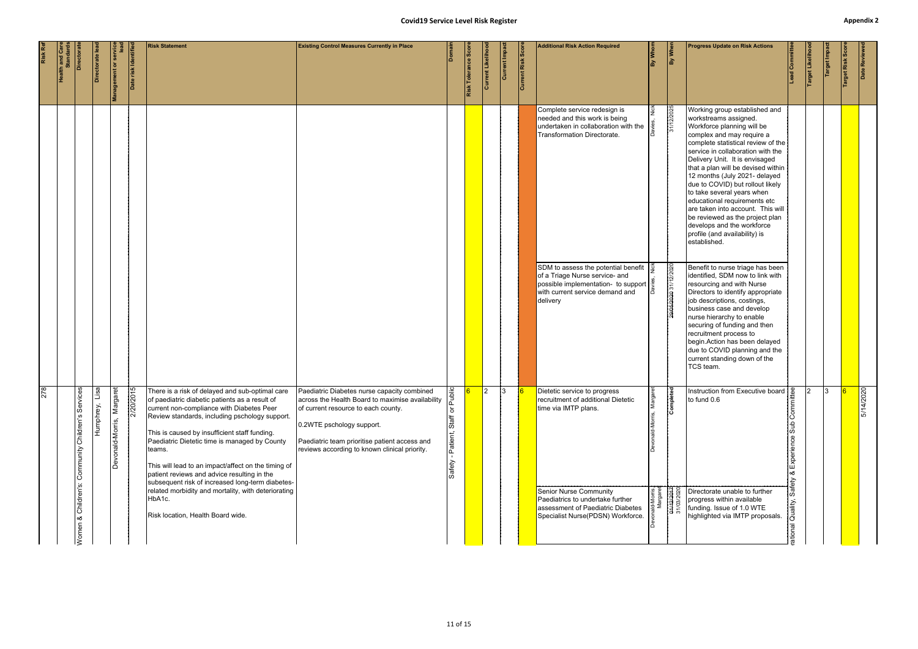|     | <b>Health and Care</b><br>Standards<br>Directorate | Directorate le    | <b>Management or service</b> | Date risk Identifie | <b>Risk Statement</b>                                                                                                                                                                                                                                                                                                                                                                                                                                                                                                                   | <b>Existing Control Measures Currently in Place</b>                                                                                                                                                                                                                   | ةا                                        | Risk Tolerance Scor | <b>Current Likelihooo</b> | Current Impact | Current Risk Score | <b>Additional Risk Action Required</b>                                                                                                                                                  | By Whom             | By When                               | <b>Progress Update on Risk Actions</b>                                                                                                                                                                                                                                                                                                                                                                                                                                                                                                                         | -ead Committe                            | Target Likeliho | Target Impa | Target Risk Scor | Date Reviewed |
|-----|----------------------------------------------------|-------------------|------------------------------|---------------------|-----------------------------------------------------------------------------------------------------------------------------------------------------------------------------------------------------------------------------------------------------------------------------------------------------------------------------------------------------------------------------------------------------------------------------------------------------------------------------------------------------------------------------------------|-----------------------------------------------------------------------------------------------------------------------------------------------------------------------------------------------------------------------------------------------------------------------|-------------------------------------------|---------------------|---------------------------|----------------|--------------------|-----------------------------------------------------------------------------------------------------------------------------------------------------------------------------------------|---------------------|---------------------------------------|----------------------------------------------------------------------------------------------------------------------------------------------------------------------------------------------------------------------------------------------------------------------------------------------------------------------------------------------------------------------------------------------------------------------------------------------------------------------------------------------------------------------------------------------------------------|------------------------------------------|-----------------|-------------|------------------|---------------|
|     |                                                    |                   |                              |                     |                                                                                                                                                                                                                                                                                                                                                                                                                                                                                                                                         |                                                                                                                                                                                                                                                                       |                                           |                     |                           |                |                    | Complete service redesign is<br>needed and this work is being<br>undertaken in collaboration with the<br>Transformation Directorate.                                                    | I٥                  | 31/12/2025                            | Working group established and<br>workstreams assigned.<br>Workforce planning will be<br>complex and may require a<br>complete statistical review of the<br>service in collaboration with the<br>Delivery Unit. It is envisaged<br>that a plan will be devised within<br>12 months (July 2021- delayed<br>due to COVID) but rollout likely<br>to take several years when<br>educational requirements etc<br>are taken into account. This will<br>be reviewed as the project plan<br>develops and the workforce<br>profile (and availability) is<br>established. |                                          |                 |             |                  |               |
|     |                                                    |                   |                              |                     |                                                                                                                                                                                                                                                                                                                                                                                                                                                                                                                                         |                                                                                                                                                                                                                                                                       |                                           |                     |                           |                |                    | SDM to assess the potential benefit $\frac{3}{2}$<br>of a Triage Nurse service- and<br>possible implementation- to support $\frac{3}{5}$<br>with current service demand and<br>delivery | Iõ                  | 29/05/2020 31/12/2020                 | Benefit to nurse triage has been<br>identified, SDM now to link with<br>resourcing and with Nurse<br>Directors to identify appropriate<br>job descriptions, costings,<br>business case and develop<br>nurse hierarchy to enable<br>securing of funding and then<br>recruitment process to<br>begin.Action has been delayed<br>due to COVID planning and the<br>current standing down of the<br>TCS team.                                                                                                                                                       |                                          |                 |             |                  |               |
| 278 | Services<br>Children's<br>Community<br>Children's: | Lisa<br>Humphrey, | Margaret<br>Devonald-Morris, | 2/20/2015           | There is a risk of delayed and sub-optimal care<br>of paediatric diabetic patients as a result of<br>current non-compliance with Diabetes Peer<br>Review standards, including pschology support.<br>This is caused by insufficient staff funding.<br>Paediatric Dietetic time is managed by County<br>teams.<br>This will lead to an impact/affect on the timing of<br>patient reviews and advice resulting in the<br>subsequent risk of increased long-term diabetes-<br>related morbidity and mortality, with deteriorating<br>HbA1c. | Paediatric Diabetes nurse capacity combined<br>across the Health Board to maximise availability<br>of current resource to each county.<br>0.2WTE pschology support.<br>Paediatric team prioritise patient access and<br>reviews according to known clinical priority. | Public<br>৯<br>Staff<br>Patient,<br>afety |                     | $ 2\rangle$               | 3              |                    | Dietetic service to progress<br>recruitment of additional Dietetic<br>time via IMTP plans.<br><b>Senior Nurse Community</b><br>Paediatrics to undertake further                         | الحسيب.<br>Margaret | Completed<br>04/12/2017<br>31/03/2020 | Instruction from Executive board<br>to fund 0.6<br>Directorate unable to further<br>progress within available                                                                                                                                                                                                                                                                                                                                                                                                                                                  | စိ<br>Sub<br>Experience<br>∣∞ర<br>Safety | $\mathcal{P}$   | 13          |                  | 5/14/2020     |
|     | ∣∞ర<br>Women                                       |                   |                              |                     | Risk location, Health Board wide.                                                                                                                                                                                                                                                                                                                                                                                                                                                                                                       |                                                                                                                                                                                                                                                                       |                                           |                     |                           |                |                    | assessment of Paediatric Diabetes<br>Specialist Nurse(PDSN) Workforce.                                                                                                                  |                     |                                       | funding. Issue of 1.0 WTE<br>highlighted via IMTP proposals.                                                                                                                                                                                                                                                                                                                                                                                                                                                                                                   | ality,                                   |                 |             |                  |               |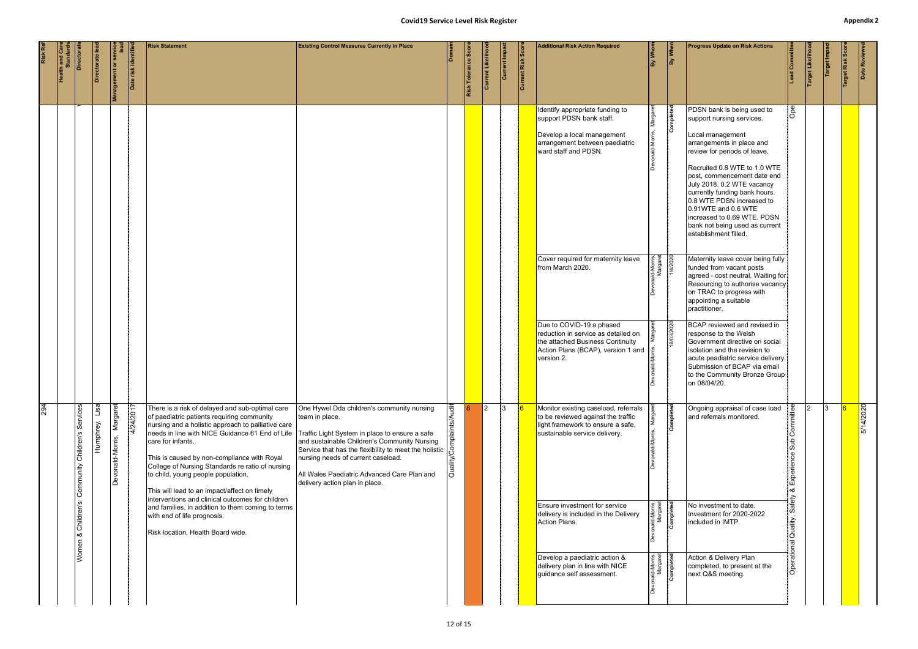|     |                                     |                                                            |                 |                               |                     |                                                                                                                                                                                                                                                                                                                                                                                                                                                                                                                                                                                                                                                  | <b>Covid19 Service Level Risk Register</b>                                                                                                                                                                                                                                                   |         |                     |                   |              |                           |                                                                                                                                                                                                                                                                                                                                                                          |                                                                                |                         |                                                                                                                                                                                                                                                                                                                                                                                                                                                                                                                                                                                                                                                                                                                                                                                                                                                                                         |                                                                                       |                 |              | <b>Appendix 2</b> |               |
|-----|-------------------------------------|------------------------------------------------------------|-----------------|-------------------------------|---------------------|--------------------------------------------------------------------------------------------------------------------------------------------------------------------------------------------------------------------------------------------------------------------------------------------------------------------------------------------------------------------------------------------------------------------------------------------------------------------------------------------------------------------------------------------------------------------------------------------------------------------------------------------------|----------------------------------------------------------------------------------------------------------------------------------------------------------------------------------------------------------------------------------------------------------------------------------------------|---------|---------------------|-------------------|--------------|---------------------------|--------------------------------------------------------------------------------------------------------------------------------------------------------------------------------------------------------------------------------------------------------------------------------------------------------------------------------------------------------------------------|--------------------------------------------------------------------------------|-------------------------|-----------------------------------------------------------------------------------------------------------------------------------------------------------------------------------------------------------------------------------------------------------------------------------------------------------------------------------------------------------------------------------------------------------------------------------------------------------------------------------------------------------------------------------------------------------------------------------------------------------------------------------------------------------------------------------------------------------------------------------------------------------------------------------------------------------------------------------------------------------------------------------------|---------------------------------------------------------------------------------------|-----------------|--------------|-------------------|---------------|
|     | <b>Health and Care</b><br>Standards | Directorat                                                 | Directorate lea | Management or service<br>Iead | Date risk Identifie | <b>Risk Statement</b>                                                                                                                                                                                                                                                                                                                                                                                                                                                                                                                                                                                                                            | <b>Existing Control Measures Currently in Place</b>                                                                                                                                                                                                                                          | Domain  | Risk Tolerance Scor | Current Likelihoo | Current Impa | <b>Current Risk Score</b> | <b>Additional Risk Action Required</b>                                                                                                                                                                                                                                                                                                                                   | By Whom                                                                        | By When                 | <b>Progress Update on Risk Actions</b>                                                                                                                                                                                                                                                                                                                                                                                                                                                                                                                                                                                                                                                                                                                                                                                                                                                  | Lead Committee                                                                        | Target Likeliho | Target Impac | arget Risk Sco    | Date Reviewed |
|     |                                     |                                                            |                 |                               |                     |                                                                                                                                                                                                                                                                                                                                                                                                                                                                                                                                                                                                                                                  |                                                                                                                                                                                                                                                                                              |         |                     |                   |              |                           | Identify appropriate funding to<br>support PDSN bank staff.<br>Develop a local management<br>arrangement between paediatric<br>ward staff and PDSN.<br>Cover required for maternity leave<br>from March 2020.<br>Due to COVID-19 a phased<br>reduction in service as detailed on<br>the attached Business Continuity<br>Action Plans (BCAP), version 1 and<br>version 2. | Marga<br>Id-Morris,<br>Margaret<br>1/4/2020                                    | Completed<br>18/03/2020 | PDSN bank is being used to<br>support nursing services.<br>Local management<br>arrangements in place and<br>review for periods of leave.<br>Recruited 0.8 WTE to 1.0 WTE<br>post, commencement date end<br>July 2018. 0.2 WTE vacancy<br>currently funding bank hours.<br>0.8 WTE PDSN increased to<br>0.91WTE and 0.6 WTE<br>increased to 0.69 WTE. PDSN<br>bank not being used as current<br>establishment filled.<br>Maternity leave cover being fully<br>funded from vacant posts<br>agreed - cost neutral. Waiting for<br>Resourcing to authorise vacancy<br>on TRAC to progress with<br>appointing a suitable<br>practitioner.<br>BCAP reviewed and revised in<br>response to the Welsh<br>Government directive on social<br>isolation and the revision to<br>acute peadiatric service delivery.<br>Submission of BCAP via email<br>to the Community Bronze Group<br>on 08/04/20. | $\sqrt{6}$                                                                            |                 |              |                   |               |
| 294 |                                     | Services<br>Community Children's<br>Children's:<br>Women & | Humphrey, Lisa  | Margaret<br>Devonald-Morris,  | 4/24/2017           | There is a risk of delayed and sub-optimal care<br>of paediatric patients requiring community<br>nursing and a holistic approach to palliative care<br>needs in line with NICE Guidance 61 End of Life Traffic Light System in place to ensure a safe<br>care for infants.<br>This is caused by non-compliance with Royal<br>College of Nursing Standards re ratio of nursing<br>to child, young people population.<br>This will lead to an impact/affect on timely<br>interventions and clinical outcomes for children<br>and families, in addition to them coming to terms<br>with end of life prognosis.<br>Risk location, Health Board wide. | One Hywel Dda children's community nursing<br>team in place.<br>and sustainable Children's Community Nursing<br>Service that has the flexibility to meet the holistic<br>nursing needs of current caseload.<br>All Wales Paediatric Advanced Care Plan and<br>delivery action plan in place. | ä<br>ਫੋ |                     | $\overline{2}$    | 3            |                           | Monitor existing caseload, referrals<br>to be reviewed against the traffic<br>light framework to ensure a safe,<br>sustainable service delivery.<br><b>Ensure investment for service</b><br>delivery is included in the Delivery<br>Action Plans.<br>Develop a paediatric action &<br>delivery plan in line with NICE<br>guidance self assessment.                       | nald-Morris,<br>Margaret<br>Completed<br>nald-Morris,<br>Margaret<br>Completed | Completed               | Ongoing appraisal of case load<br>and referrals monitored.<br>No investment to date.<br>Investment for 2020-2022<br>included in IMTP.<br>Action & Delivery Plan<br>completed, to present at the<br>next Q&S meeting.                                                                                                                                                                                                                                                                                                                                                                                                                                                                                                                                                                                                                                                                    | Committee<br>$\frac{d}{dS}$<br>Experience<br>∣∝ర<br>Safety<br>Quality,<br>Operational |                 | 13           |                   | 5/14/2020     |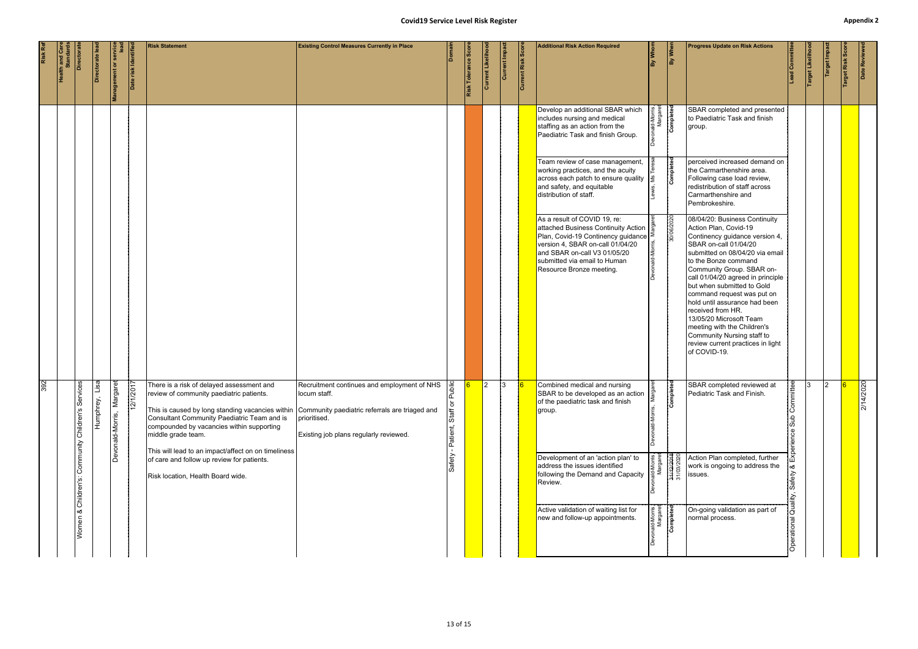|         |                          |                                  |                   |                                                |                    |                                                                                                                                                                                                                                                             | <b>Covid19 Service Level Risk Register</b>                                                                                                                              |                                      |                            |                  |              |                   |                                                                                                                                                                                                                                                  |                                                            |            |                                                                                                                                                                                                                                                                                                                                                                                                                                                                                                               |                                        |                  |             |                  | Appendix      |
|---------|--------------------------|----------------------------------|-------------------|------------------------------------------------|--------------------|-------------------------------------------------------------------------------------------------------------------------------------------------------------------------------------------------------------------------------------------------------------|-------------------------------------------------------------------------------------------------------------------------------------------------------------------------|--------------------------------------|----------------------------|------------------|--------------|-------------------|--------------------------------------------------------------------------------------------------------------------------------------------------------------------------------------------------------------------------------------------------|------------------------------------------------------------|------------|---------------------------------------------------------------------------------------------------------------------------------------------------------------------------------------------------------------------------------------------------------------------------------------------------------------------------------------------------------------------------------------------------------------------------------------------------------------------------------------------------------------|----------------------------------------|------------------|-------------|------------------|---------------|
| Risk Re | Health and Ca<br>Standar | Directora                        | Directorate lea   | Management or service<br>Management or service | Date risk Identifi | <b>Risk Statement</b>                                                                                                                                                                                                                                       | <b>Existing Control Measures Currently in Place</b>                                                                                                                     | <b>Domair</b>                        | <b>Risk Tolerance Scor</b> | Current Likeliho | Current Impa | Current Risk Scor | <b>Additional Risk Action Required</b>                                                                                                                                                                                                           | By Whom                                                    | By Wher    | <b>Progress Update on Risk Actions</b>                                                                                                                                                                                                                                                                                                                                                                                                                                                                        | Lead Committee                         | Target Likelihoo | Target Impa | Target Risk Scor | Date Reviewed |
|         |                          |                                  |                   |                                                |                    |                                                                                                                                                                                                                                                             |                                                                                                                                                                         |                                      |                            |                  |              |                   | Develop an additional SBAR which<br>includes nursing and medical<br>staffing as an action from the<br>Paediatric Task and finish Group.                                                                                                          | e met<br>nald-Morris,<br>Margaret<br><b>Completed</b><br>് |            | SBAR completed and presented<br>to Paediatric Task and finish<br>group.                                                                                                                                                                                                                                                                                                                                                                                                                                       |                                        |                  |             |                  |               |
|         |                          |                                  |                   |                                                |                    |                                                                                                                                                                                                                                                             |                                                                                                                                                                         |                                      |                            |                  |              |                   | Team review of case management,<br>working practices, and the acuity<br>across each patch to ensure quality<br>and safety, and equitable<br>distribution of staff.                                                                               | ٦ē<br>Δs                                                   | Completed  | perceived increased demand on<br>the Carmarthenshire area.<br>Following case load review,<br>redistribution of staff across<br>Carmarthenshire and<br>Pembrokeshire.                                                                                                                                                                                                                                                                                                                                          |                                        |                  |             |                  |               |
|         |                          |                                  |                   |                                                |                    |                                                                                                                                                                                                                                                             |                                                                                                                                                                         |                                      |                            |                  |              |                   | As a result of COVID 19, re:<br>attached Business Continuity Action<br>Plan, Covid-19 Continency guidance $\geq$<br>version 4, SBAR on-call 01/04/20<br>and SBAR on-call V3 01/05/20<br>submitted via email to Human<br>Resource Bronze meeting. | ុច្នា<br>Morris,                                           | 30/06/2020 | 08/04/20: Business Continuity<br>Action Plan, Covid-19<br>Continency guidance version 4,<br>SBAR on-call 01/04/20<br>submitted on 08/04/20 via email<br>to the Bonze command<br>Community Group. SBAR on-<br>call 01/04/20 agreed in principle<br>but when submitted to Gold<br>command request was put on<br>hold until assurance had been<br>received from HR.<br>13/05/20 Microsoft Team<br>meeting with the Children's<br>Community Nursing staff to<br>review current practices in light<br>of COVID-19. |                                        |                  |             |                  |               |
|         | $\sqrt{392}$             | Services<br>Community Children's | Lisa<br>Humphrey, | Margaret<br>Devonald-Morris,                   | 2/1/201            | There is a risk of delayed assessment and<br>review of community paediatric patients.<br>This is caused by long standing vacancies within<br>Consultant Community Paediatric Team and is<br>compounded by vacancies within supporting<br>middle grade team. | Recruitment continues and employment of NHS<br>locum staff.<br>Community paediatric referrals are triaged and<br>prioritised.<br>Existing job plans regularly reviewed. | Public<br>Safety - Patient, Staff or |                            | $ 2\rangle$      | 3            |                   | Combined medical and nursing<br>SBAR to be developed as an action<br>of the paediatric task and finish<br>group.                                                                                                                                 | yarg                                                       | Completed  | SBAR completed reviewed at<br>Pediatric Task and Finish.                                                                                                                                                                                                                                                                                                                                                                                                                                                      | Committee<br>$\frac{d}{dS}$<br>erience | 3                | $\vert$ 2   |                  | 2/14/2020     |
|         |                          | Children's:                      |                   |                                                |                    | This will lead to an impact/affect on on timeliness<br>of care and follow up review for patients.<br>Risk location, Health Board wide.                                                                                                                      |                                                                                                                                                                         |                                      |                            |                  |              |                   | Development of an 'action plan' to<br>address the issues identified<br>following the Demand and Capacity<br>Review.                                                                                                                              | ald-Mor<br>Marga<br>ദ്                                     | 31/03/2016 | Action Plan completed, further<br>work is ongoing to address the<br>issues.                                                                                                                                                                                                                                                                                                                                                                                                                                   | Safety<br>Quality,                     |                  |             |                  |               |
|         |                          | త<br>Women                       |                   |                                                |                    |                                                                                                                                                                                                                                                             |                                                                                                                                                                         |                                      |                            |                  |              |                   | Active validation of waiting list for<br>new and follow-up appointments.                                                                                                                                                                         | <sub>nald-Morris,</sub><br>Margaret<br><b>Completed</b>    |            | On-going validation as part of<br>normal process.                                                                                                                                                                                                                                                                                                                                                                                                                                                             | perational<br>lO                       |                  |             |                  |               |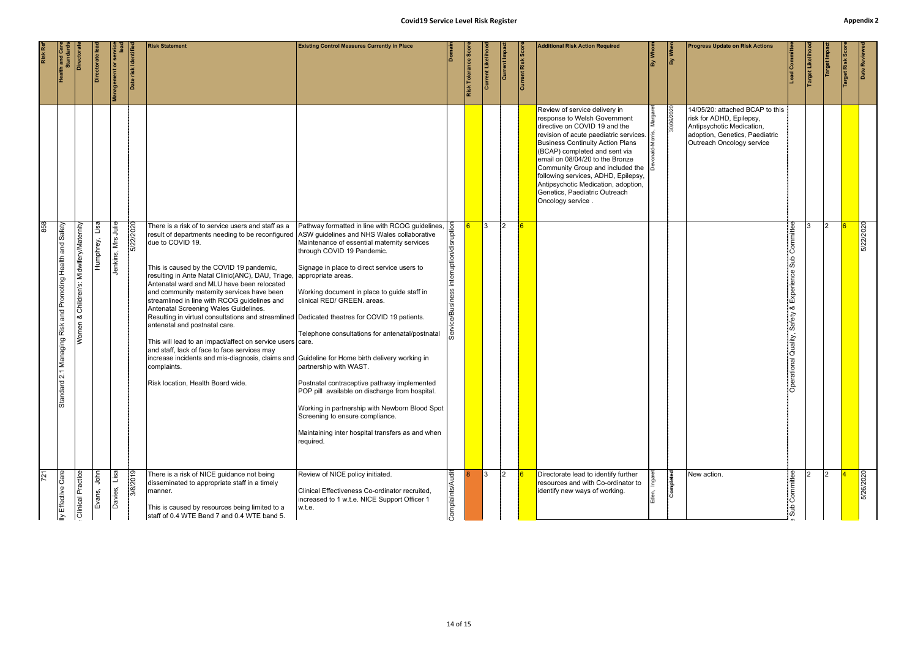# **Covid19 Service Level Risk Register Appendix 2** s<br>Safety - Patient<br>Staff of Public Staff or Public Staff or Public Staff or Public Staff or Public Staff or Public Staff or Publi

| <b>Appendix</b> 2                                                                                 | Date Reviewed                           |                                                                                                                                                                                                                                                                                                                                                                                                                                 | 5/22/2020                                                                                                                                                                                                                                                                                                                                                                                                                                                                                                                                                                                                                                                                                                                                                                                                                                                                          | 5/26/2020                                                                                                                                                                                               |
|---------------------------------------------------------------------------------------------------|-----------------------------------------|---------------------------------------------------------------------------------------------------------------------------------------------------------------------------------------------------------------------------------------------------------------------------------------------------------------------------------------------------------------------------------------------------------------------------------|------------------------------------------------------------------------------------------------------------------------------------------------------------------------------------------------------------------------------------------------------------------------------------------------------------------------------------------------------------------------------------------------------------------------------------------------------------------------------------------------------------------------------------------------------------------------------------------------------------------------------------------------------------------------------------------------------------------------------------------------------------------------------------------------------------------------------------------------------------------------------------|---------------------------------------------------------------------------------------------------------------------------------------------------------------------------------------------------------|
|                                                                                                   | arget Risk Sco                          |                                                                                                                                                                                                                                                                                                                                                                                                                                 | 2                                                                                                                                                                                                                                                                                                                                                                                                                                                                                                                                                                                                                                                                                                                                                                                                                                                                                  | 12.                                                                                                                                                                                                     |
|                                                                                                   | Target Likeliho<br>Target Impa          |                                                                                                                                                                                                                                                                                                                                                                                                                                 |                                                                                                                                                                                                                                                                                                                                                                                                                                                                                                                                                                                                                                                                                                                                                                                                                                                                                    |                                                                                                                                                                                                         |
|                                                                                                   | Lead Committee                          |                                                                                                                                                                                                                                                                                                                                                                                                                                 | Committee<br>sub<br>  ல<br>Experieno<br>l∝<br>Safety<br>Operational Quality,                                                                                                                                                                                                                                                                                                                                                                                                                                                                                                                                                                                                                                                                                                                                                                                                       | Committee<br>$\frac{d}{dS}$                                                                                                                                                                             |
| <b>Progress Update on Risk Actions</b>                                                            |                                         | 14/05/20: attached BCAP to this<br>risk for ADHD, Epilepsy,<br>Antipsychotic Medication,<br>adoption, Genetics, Paediatric<br>Outreach Oncology service                                                                                                                                                                                                                                                                         |                                                                                                                                                                                                                                                                                                                                                                                                                                                                                                                                                                                                                                                                                                                                                                                                                                                                                    | New action.                                                                                                                                                                                             |
|                                                                                                   | By When                                 | 30/06/2020                                                                                                                                                                                                                                                                                                                                                                                                                      |                                                                                                                                                                                                                                                                                                                                                                                                                                                                                                                                                                                                                                                                                                                                                                                                                                                                                    | Completed                                                                                                                                                                                               |
|                                                                                                   |                                         |                                                                                                                                                                                                                                                                                                                                                                                                                                 |                                                                                                                                                                                                                                                                                                                                                                                                                                                                                                                                                                                                                                                                                                                                                                                                                                                                                    |                                                                                                                                                                                                         |
|                                                                                                   | By Whom                                 |                                                                                                                                                                                                                                                                                                                                                                                                                                 |                                                                                                                                                                                                                                                                                                                                                                                                                                                                                                                                                                                                                                                                                                                                                                                                                                                                                    |                                                                                                                                                                                                         |
| <b>Additional Risk Action Required</b>                                                            |                                         | Review of service delivery in<br>response to Welsh Government<br>directive on COVID 19 and the<br>revision of acute paediatric services.<br><b>Business Continuity Action Plans</b><br>(BCAP) completed and sent via<br>email on 08/04/20 to the Bronze<br>Community Group and included the<br>following services, ADHD, Epilepsy,<br>Antipsychotic Medication, adoption,<br>Genetics, Paediatric Outreach<br>Oncology service. |                                                                                                                                                                                                                                                                                                                                                                                                                                                                                                                                                                                                                                                                                                                                                                                                                                                                                    | Directorate lead to identify further<br>resources and with Co-ordinator to<br>identify new ways of working.                                                                                             |
|                                                                                                   |                                         |                                                                                                                                                                                                                                                                                                                                                                                                                                 |                                                                                                                                                                                                                                                                                                                                                                                                                                                                                                                                                                                                                                                                                                                                                                                                                                                                                    |                                                                                                                                                                                                         |
|                                                                                                   | <b>Current Risk Score</b>               |                                                                                                                                                                                                                                                                                                                                                                                                                                 | l R                                                                                                                                                                                                                                                                                                                                                                                                                                                                                                                                                                                                                                                                                                                                                                                                                                                                                |                                                                                                                                                                                                         |
|                                                                                                   | Current Impac                           |                                                                                                                                                                                                                                                                                                                                                                                                                                 | l 3<br>$\vert$ 2                                                                                                                                                                                                                                                                                                                                                                                                                                                                                                                                                                                                                                                                                                                                                                                                                                                                   | 3 <sup>1</sup><br>$\vert$ 2                                                                                                                                                                             |
|                                                                                                   | Risk Tolerance Sco<br>Current Likelihoo |                                                                                                                                                                                                                                                                                                                                                                                                                                 | $\overline{6}$                                                                                                                                                                                                                                                                                                                                                                                                                                                                                                                                                                                                                                                                                                                                                                                                                                                                     |                                                                                                                                                                                                         |
|                                                                                                   |                                         |                                                                                                                                                                                                                                                                                                                                                                                                                                 | $\overline{5}$<br>rruption/disrupt<br>l est<br>Lite<br>e/Business<br>ခြ                                                                                                                                                                                                                                                                                                                                                                                                                                                                                                                                                                                                                                                                                                                                                                                                            | Complaints/Audit                                                                                                                                                                                        |
| <b>Covid19 Service Level Risk Register</b><br><b>Existing Control Measures Currently in Place</b> |                                         |                                                                                                                                                                                                                                                                                                                                                                                                                                 | Pathway formatted in line with RCOG guidelines,<br>Maintenance of essential maternity services<br>through COVID 19 Pandemic.<br>Signage in place to direct service users to<br>Working document in place to guide staff in<br>clinical RED/ GREEN. areas.<br>Telephone consultations for antenatal/postnatal<br>partnership with WAST.<br>Postnatal contraceptive pathway implemented<br>POP pill available on discharge from hospital.<br>Working in partnership with Newborn Blood Spot<br>Screening to ensure compliance.<br>Maintaining inter hospital transfers as and when<br>required.                                                                                                                                                                                                                                                                                      | Review of NICE policy initiated.<br>Clinical Effectiveness Co-ordinator recruited,<br>increased to 1 w.t.e. NICE Support Officer 1<br>w.t.e.                                                            |
| <b>Risk Statement</b>                                                                             |                                         |                                                                                                                                                                                                                                                                                                                                                                                                                                 | There is a risk of to service users and staff as a<br>result of departments needing to be reconfigured ASW guidelines and NHS Wales collaborative<br>due to COVID 19.<br>This is caused by the COVID 19 pandemic,<br>resulting in Ante Natal Clinic(ANC), DAU, Triage,  appropriate areas.<br>Antenatal ward and MLU have been relocated<br>and community maternity services have been<br>streamlined in line with RCOG guidelines and<br>Antenatal Screening Wales Guidelines.<br>Resulting in virtual consultations and streamlined Dedicated theatres for COVID 19 patients.<br>antenatal and postnatal care.<br>This will lead to an impact/affect on service users care.<br>and staff, lack of face to face services may<br>increase incidents and mis-diagnosis, claims and Guideline for Home birth delivery working in<br>complaints.<br>Risk location, Health Board wide. | There is a risk of NICE guidance not being<br>disseminated to appropriate staff in a timely<br>manner.<br>This is caused by resources being limited to a<br>staff of 0.4 WTE Band 7 and 0.4 WTE band 5. |
|                                                                                                   | Date risk Identifie                     |                                                                                                                                                                                                                                                                                                                                                                                                                                 | 5/22/2020                                                                                                                                                                                                                                                                                                                                                                                                                                                                                                                                                                                                                                                                                                                                                                                                                                                                          | 3/8/2019                                                                                                                                                                                                |
|                                                                                                   | ement or                                |                                                                                                                                                                                                                                                                                                                                                                                                                                 | Jenkins, Mrs Julie                                                                                                                                                                                                                                                                                                                                                                                                                                                                                                                                                                                                                                                                                                                                                                                                                                                                 | lisa<br>Davies,                                                                                                                                                                                         |
|                                                                                                   | Directorate lea                         |                                                                                                                                                                                                                                                                                                                                                                                                                                 | Lisa<br>Humphrey,                                                                                                                                                                                                                                                                                                                                                                                                                                                                                                                                                                                                                                                                                                                                                                                                                                                                  | John<br>Evans,                                                                                                                                                                                          |
|                                                                                                   | Directorat                              |                                                                                                                                                                                                                                                                                                                                                                                                                                 | Women & Children's: Midwifery/Maternity                                                                                                                                                                                                                                                                                                                                                                                                                                                                                                                                                                                                                                                                                                                                                                                                                                            | <b>Clinical Practice</b>                                                                                                                                                                                |
|                                                                                                   | <b>Health and Care</b><br>Standards     |                                                                                                                                                                                                                                                                                                                                                                                                                                 | Health and Safety<br>Standard 2.1 Managing Risk and Promoting                                                                                                                                                                                                                                                                                                                                                                                                                                                                                                                                                                                                                                                                                                                                                                                                                      | ly Effective Care                                                                                                                                                                                       |
|                                                                                                   | Risk Ref                                |                                                                                                                                                                                                                                                                                                                                                                                                                                 | 858                                                                                                                                                                                                                                                                                                                                                                                                                                                                                                                                                                                                                                                                                                                                                                                                                                                                                | $\overline{721}$                                                                                                                                                                                        |